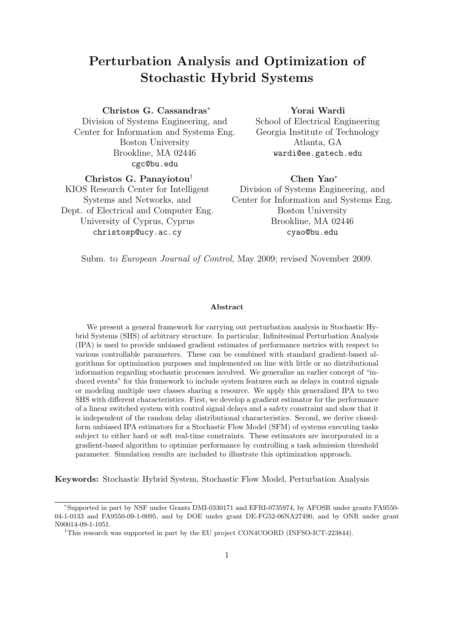# Perturbation Analysis and Optimization of Stochastic Hybrid Systems

### Christos G. Cassandras<sup>∗</sup>

Division of Systems Engineering, and Center for Information and Systems Eng. Boston University Brookline, MA 02446 cgc@bu.edu

### Yorai Wardi

School of Electrical Engineering Georgia Institute of Technology Atlanta, GA wardi@ee.gatech.edu

# Christos G. Panayiotou† KIOS Research Center for Intelligent

Systems and Networks, and Dept. of Electrical and Computer Eng. University of Cyprus, Cyprus christosp@ucy.ac.cy

### Chen Yao<sup>∗</sup>

Division of Systems Engineering, and Center for Information and Systems Eng. Boston University Brookline, MA 02446 cyao@bu.edu

Subm. to European Journal of Control, May 2009; revised November 2009.

#### Abstract

We present a general framework for carrying out perturbation analysis in Stochastic Hybrid Systems (SHS) of arbitrary structure. In particular, Infinitesimal Perturbation Analysis (IPA) is used to provide unbiased gradient estimates of performance metrics with respect to various controllable parameters. These can be combined with standard gradient-based algorithms for optimization purposes and implemented on line with little or no distributional information regarding stochastic processes involved. We generalize an earlier concept of "induced events" for this framework to include system features such as delays in control signals or modeling multiple user classes sharing a resource. We apply this generalized IPA to two SHS with different characteristics. First, we develop a gradient estimator for the performance of a linear switched system with control signal delays and a safety constraint and show that it is independent of the random delay distributional characteristics. Second, we derive closedform unbiased IPA estimators for a Stochastic Flow Model (SFM) of systems executing tasks subject to either hard or soft real-time constraints. These estimators are incorporated in a gradient-based algorithm to optimize performance by controlling a task admission threshold parameter. Simulation results are included to illustrate this optimization approach.

Keywords: Stochastic Hybrid System, Stochastic Flow Model, Perturbation Analysis

<sup>∗</sup>Supported in part by NSF under Grants DMI-0330171 and EFRI-0735974, by AFOSR under grants FA9550- 04-1-0133 and FA9550-09-1-0095, and by DOE under grant DE-FG52-06NA27490, and by ONR under grant N00014-09-1-1051.

<sup>†</sup>This research was supported in part by the EU project CON4COORD (INFSO-ICT-223844).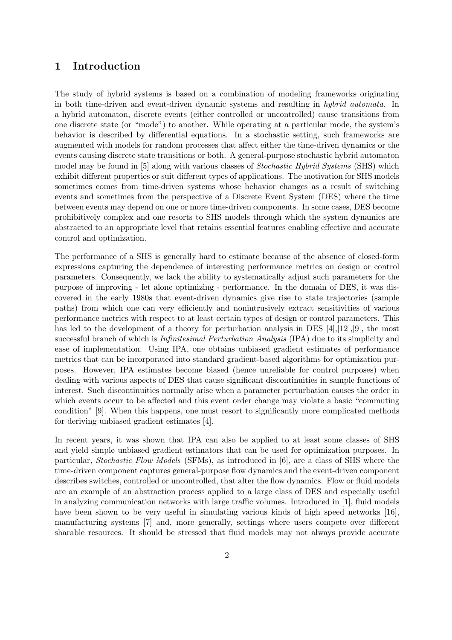### 1 Introduction

The study of hybrid systems is based on a combination of modeling frameworks originating in both time-driven and event-driven dynamic systems and resulting in hybrid automata. In a hybrid automaton, discrete events (either controlled or uncontrolled) cause transitions from one discrete state (or "mode") to another. While operating at a particular mode, the system's behavior is described by differential equations. In a stochastic setting, such frameworks are augmented with models for random processes that affect either the time-driven dynamics or the events causing discrete state transitions or both. A general-purpose stochastic hybrid automaton model may be found in [5] along with various classes of *Stochastic Hybrid Systems* (SHS) which exhibit different properties or suit different types of applications. The motivation for SHS models sometimes comes from time-driven systems whose behavior changes as a result of switching events and sometimes from the perspective of a Discrete Event System (DES) where the time between events may depend on one or more time-driven components. In some cases, DES become prohibitively complex and one resorts to SHS models through which the system dynamics are abstracted to an appropriate level that retains essential features enabling effective and accurate control and optimization.

The performance of a SHS is generally hard to estimate because of the absence of closed-form expressions capturing the dependence of interesting performance metrics on design or control parameters. Consequently, we lack the ability to systematically adjust such parameters for the purpose of improving - let alone optimizing - performance. In the domain of DES, it was discovered in the early 1980s that event-driven dynamics give rise to state trajectories (sample paths) from which one can very efficiently and nonintrusively extract sensitivities of various performance metrics with respect to at least certain types of design or control parameters. This has led to the development of a theory for perturbation analysis in DES  $[4]$ ,  $[12]$ ,  $[9]$ , the most successful branch of which is Infinitesimal Perturbation Analysis (IPA) due to its simplicity and ease of implementation. Using IPA, one obtains unbiased gradient estimates of performance metrics that can be incorporated into standard gradient-based algorithms for optimization purposes. However, IPA estimates become biased (hence unreliable for control purposes) when dealing with various aspects of DES that cause significant discontinuities in sample functions of interest. Such discontinuities normally arise when a parameter perturbation causes the order in which events occur to be affected and this event order change may violate a basic "commuting condition" [9]. When this happens, one must resort to significantly more complicated methods for deriving unbiased gradient estimates [4].

In recent years, it was shown that IPA can also be applied to at least some classes of SHS and yield simple unbiased gradient estimators that can be used for optimization purposes. In particular, Stochastic Flow Models (SFMs), as introduced in [6], are a class of SHS where the time-driven component captures general-purpose flow dynamics and the event-driven component describes switches, controlled or uncontrolled, that alter the flow dynamics. Flow or fluid models are an example of an abstraction process applied to a large class of DES and especially useful in analyzing communication networks with large traffic volumes. Introduced in [1], fluid models have been shown to be very useful in simulating various kinds of high speed networks [16], manufacturing systems [7] and, more generally, settings where users compete over different sharable resources. It should be stressed that fluid models may not always provide accurate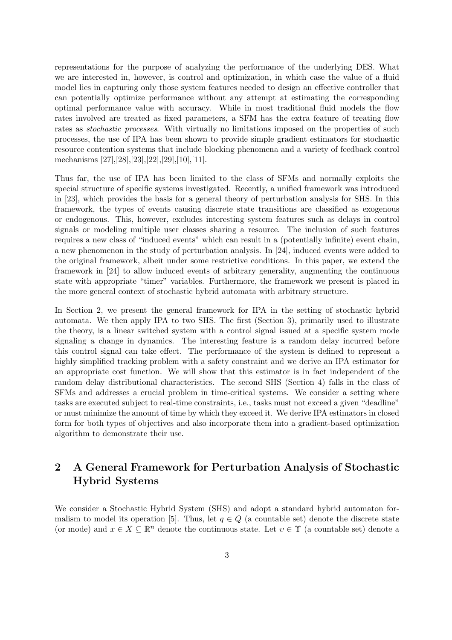representations for the purpose of analyzing the performance of the underlying DES. What we are interested in, however, is control and optimization, in which case the value of a fluid model lies in capturing only those system features needed to design an effective controller that can potentially optimize performance without any attempt at estimating the corresponding optimal performance value with accuracy. While in most traditional fluid models the flow rates involved are treated as fixed parameters, a SFM has the extra feature of treating flow rates as *stochastic processes*. With virtually no limitations imposed on the properties of such processes, the use of IPA has been shown to provide simple gradient estimators for stochastic resource contention systems that include blocking phenomena and a variety of feedback control mechanisms [27],[28],[23],[22],[29],[10],[11].

Thus far, the use of IPA has been limited to the class of SFMs and normally exploits the special structure of specific systems investigated. Recently, a unified framework was introduced in [23], which provides the basis for a general theory of perturbation analysis for SHS. In this framework, the types of events causing discrete state transitions are classified as exogenous or endogenous. This, however, excludes interesting system features such as delays in control signals or modeling multiple user classes sharing a resource. The inclusion of such features requires a new class of "induced events" which can result in a (potentially infinite) event chain, a new phenomenon in the study of perturbation analysis. In [24], induced events were added to the original framework, albeit under some restrictive conditions. In this paper, we extend the framework in [24] to allow induced events of arbitrary generality, augmenting the continuous state with appropriate "timer" variables. Furthermore, the framework we present is placed in the more general context of stochastic hybrid automata with arbitrary structure.

In Section 2, we present the general framework for IPA in the setting of stochastic hybrid automata. We then apply IPA to two SHS. The first (Section 3), primarily used to illustrate the theory, is a linear switched system with a control signal issued at a specific system mode signaling a change in dynamics. The interesting feature is a random delay incurred before this control signal can take effect. The performance of the system is defined to represent a highly simplified tracking problem with a safety constraint and we derive an IPA estimator for an appropriate cost function. We will show that this estimator is in fact independent of the random delay distributional characteristics. The second SHS (Section 4) falls in the class of SFMs and addresses a crucial problem in time-critical systems. We consider a setting where tasks are executed subject to real-time constraints, i.e., tasks must not exceed a given "deadline" or must minimize the amount of time by which they exceed it. We derive IPA estimators in closed form for both types of objectives and also incorporate them into a gradient-based optimization algorithm to demonstrate their use.

# 2 A General Framework for Perturbation Analysis of Stochastic Hybrid Systems

We consider a Stochastic Hybrid System (SHS) and adopt a standard hybrid automaton formalism to model its operation [5]. Thus, let  $q \in Q$  (a countable set) denote the discrete state (or mode) and  $x \in X \subseteq \mathbb{R}^n$  denote the continuous state. Let  $v \in \Upsilon$  (a countable set) denote a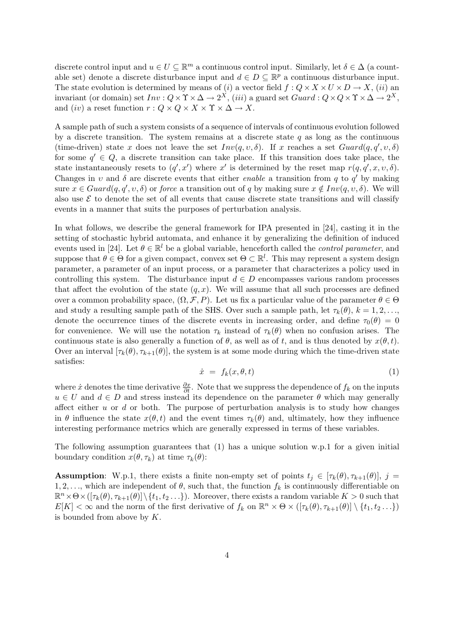discrete control input and  $u \in U \subseteq \mathbb{R}^m$  a continuous control input. Similarly, let  $\delta \in \Delta$  (a countable set) denote a discrete disturbance input and  $d \in D \subseteq \mathbb{R}^p$  a continuous disturbance input. The state evolution is determined by means of (i) a vector field  $f: Q \times X \times U \times D \to X$ , (ii) an invariant (or domain) set  $Inv: Q \times \Upsilon \times \Delta \to 2^X$ , (iii) a guard set  $Guard: Q \times Q \times \Upsilon \times \Delta \to 2^X$ , and (iv) a reset function  $r: Q \times Q \times X \times \Upsilon \times \Delta \rightarrow X$ .

A sample path of such a system consists of a sequence of intervals of continuous evolution followed by a discrete transition. The system remains at a discrete state  $q$  as long as the continuous (time-driven) state x does not leave the set  $Inv(q, v, \delta)$ . If x reaches a set  $Guard(q, q', v, \delta)$ for some  $q' \in Q$ , a discrete transition can take place. If this transition does take place, the state instantaneously resets to  $(q', x')$  where x' is determined by the reset map  $r(q, q', x, v, \delta)$ . Changes in v and  $\delta$  are discrete events that either *enable* a transition from q to q' by making sure  $x \in Guard(q, q', v, \delta)$  or force a transition out of q by making sure  $x \notin Inv(q, v, \delta)$ . We will also use  $\mathcal E$  to denote the set of all events that cause discrete state transitions and will classify events in a manner that suits the purposes of perturbation analysis.

In what follows, we describe the general framework for IPA presented in [24], casting it in the setting of stochastic hybrid automata, and enhance it by generalizing the definition of induced events used in [24]. Let  $\theta \in \mathbb{R}^l$  be a global variable, henceforth called the *control parameter*, and suppose that  $\theta \in \Theta$  for a given compact, convex set  $\Theta \subset \mathbb{R}^l$ . This may represent a system design parameter, a parameter of an input process, or a parameter that characterizes a policy used in controlling this system. The disturbance input  $d \in D$  encompasses various random processes that affect the evolution of the state  $(q, x)$ . We will assume that all such processes are defined over a common probability space,  $(\Omega, \mathcal{F}, P)$ . Let us fix a particular value of the parameter  $\theta \in \Theta$ and study a resulting sample path of the SHS. Over such a sample path, let  $\tau_k(\theta)$ ,  $k = 1, 2, \ldots$ , denote the occurrence times of the discrete events in increasing order, and define  $\tau_0(\theta) = 0$ for convenience. We will use the notation  $\tau_k$  instead of  $\tau_k(\theta)$  when no confusion arises. The continuous state is also generally a function of  $\theta$ , as well as of t, and is thus denoted by  $x(\theta, t)$ . Over an interval  $[\tau_k(\theta), \tau_{k+1}(\theta)]$ , the system is at some mode during which the time-driven state satisfies:

$$
\dot{x} = f_k(x, \theta, t) \tag{1}
$$

where  $\dot{x}$  denotes the time derivative  $\frac{\partial x}{\partial t}$ . Note that we suppress the dependence of  $f_k$  on the inputs  $u \in U$  and  $d \in D$  and stress instead its dependence on the parameter  $\theta$  which may generally affect either  $u$  or  $d$  or both. The purpose of perturbation analysis is to study how changes in  $\theta$  influence the state  $x(\theta, t)$  and the event times  $\tau_k(\theta)$  and, ultimately, how they influence interesting performance metrics which are generally expressed in terms of these variables.

The following assumption guarantees that  $(1)$  has a unique solution w.p.1 for a given initial boundary condition  $x(\theta, \tau_k)$  at time  $\tau_k(\theta)$ :

**Assumption:** W.p.1, there exists a finite non-empty set of points  $t_j \in [\tau_k(\theta), \tau_{k+1}(\theta)], j =$ 1, 2, ..., which are independent of  $\theta$ , such that, the function  $f_k$  is continuously differentiable on  $\mathbb{R}^n \times \Theta \times (\lbrack \tau_k(\theta), \tau_{k+1}(\theta) \rbrack \setminus \{t_1, t_2 \dots\}).$  Moreover, there exists a random variable  $K > 0$  such that  $E[K] < \infty$  and the norm of the first derivative of  $f_k$  on  $\mathbb{R}^n \times \Theta \times (\lceil \tau_k(\theta), \tau_{k+1}(\theta) \rceil \setminus \{t_1, t_2 \dots\})$ is bounded from above by  $K$ .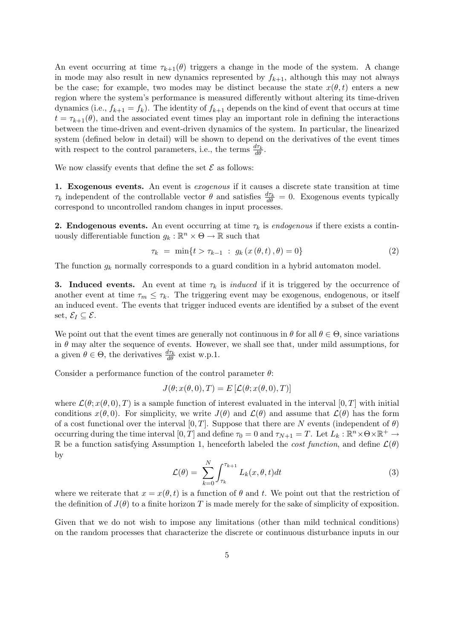An event occurring at time  $\tau_{k+1}(\theta)$  triggers a change in the mode of the system. A change in mode may also result in new dynamics represented by  $f_{k+1}$ , although this may not always be the case; for example, two modes may be distinct because the state  $x(\theta, t)$  enters a new region where the system's performance is measured differently without altering its time-driven dynamics (i.e.,  $f_{k+1} = f_k$ ). The identity of  $f_{k+1}$  depends on the kind of event that occurs at time  $t = \tau_{k+1}(\theta)$ , and the associated event times play an important role in defining the interactions between the time-driven and event-driven dynamics of the system. In particular, the linearized system (defined below in detail) will be shown to depend on the derivatives of the event times with respect to the control parameters, i.e., the terms  $\frac{d\tau_k}{d\theta}$ .

We now classify events that define the set  $\mathcal E$  as follows:

1. Exogenous events. An event is exogenous if it causes a discrete state transition at time  $\tau_k$  independent of the controllable vector  $\theta$  and satisfies  $\frac{d\tau_k}{d\theta} = 0$ . Exogenous events typically correspond to uncontrolled random changes in input processes.

**2. Endogenous events.** An event occurring at time  $\tau_k$  is endogenous if there exists a continuously differentiable function  $g_k : \mathbb{R}^n \times \Theta \to \mathbb{R}$  such that

$$
\tau_k = \min\{t > \tau_{k-1} : g_k(x(\theta, t), \theta) = 0\}
$$
\n(2)

The function  $g_k$  normally corresponds to a guard condition in a hybrid automaton model.

**3.** Induced events. An event at time  $\tau_k$  is *induced* if it is triggered by the occurrence of another event at time  $\tau_m \leq \tau_k$ . The triggering event may be exogenous, endogenous, or itself an induced event. The events that trigger induced events are identified by a subset of the event set,  $\mathcal{E}_I \subset \mathcal{E}$ .

We point out that the event times are generally not continuous in  $\theta$  for all  $\theta \in \Theta$ , since variations in  $\theta$  may alter the sequence of events. However, we shall see that, under mild assumptions, for a given  $\theta \in \Theta$ , the derivatives  $\frac{d\tau_k}{d\theta}$  exist w.p.1.

Consider a performance function of the control parameter  $\theta$ :

$$
J(\theta; x(\theta, 0), T) = E\left[\mathcal{L}(\theta; x(\theta, 0), T)\right]
$$

where  $\mathcal{L}(\theta; x(\theta, 0), T)$  is a sample function of interest evaluated in the interval [0, T] with initial conditions  $x(\theta, 0)$ . For simplicity, we write  $J(\theta)$  and  $\mathcal{L}(\theta)$  and assume that  $\mathcal{L}(\theta)$  has the form of a cost functional over the interval  $[0, T]$ . Suppose that there are N events (independent of  $\theta$ ) occurring during the time interval  $[0, T]$  and define  $\tau_0 = 0$  and  $\tau_{N+1} = T$ . Let  $L_k : \mathbb{R}^n \times \Theta \times \mathbb{R}^+ \to$ R be a function satisfying Assumption 1, henceforth labeled the *cost function*, and define  $\mathcal{L}(\theta)$ by

$$
\mathcal{L}(\theta) = \sum_{k=0}^{N} \int_{\tau_k}^{\tau_{k+1}} L_k(x, \theta, t) dt
$$
\n(3)

where we reiterate that  $x = x(\theta, t)$  is a function of  $\theta$  and t. We point out that the restriction of the definition of  $J(\theta)$  to a finite horizon T is made merely for the sake of simplicity of exposition.

Given that we do not wish to impose any limitations (other than mild technical conditions) on the random processes that characterize the discrete or continuous disturbance inputs in our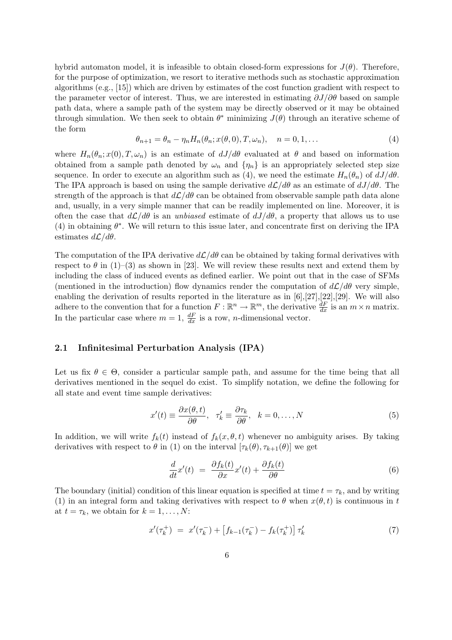hybrid automaton model, it is infeasible to obtain closed-form expressions for  $J(\theta)$ . Therefore, for the purpose of optimization, we resort to iterative methods such as stochastic approximation algorithms (e.g., [15]) which are driven by estimates of the cost function gradient with respect to the parameter vector of interest. Thus, we are interested in estimating  $\partial J/\partial \theta$  based on sample path data, where a sample path of the system may be directly observed or it may be obtained through simulation. We then seek to obtain  $\theta^*$  minimizing  $J(\theta)$  through an iterative scheme of the form

$$
\theta_{n+1} = \theta_n - \eta_n H_n(\theta_n; x(\theta, 0), T, \omega_n), \quad n = 0, 1, \dots
$$
\n<sup>(4)</sup>

where  $H_n(\theta_n; x(0), T, \omega_n)$  is an estimate of  $dJ/d\theta$  evaluated at  $\theta$  and based on information obtained from a sample path denoted by  $\omega_n$  and  $\{\eta_n\}$  is an appropriately selected step size sequence. In order to execute an algorithm such as (4), we need the estimate  $H_n(\theta_n)$  of  $dJ/d\theta$ . The IPA approach is based on using the sample derivative  $d\mathcal{L}/d\theta$  as an estimate of  $dJ/d\theta$ . The strength of the approach is that  $d\mathcal{L}/d\theta$  can be obtained from observable sample path data alone and, usually, in a very simple manner that can be readily implemented on line. Moreover, it is often the case that  $d\mathcal{L}/d\theta$  is an unbiased estimate of  $dJ/d\theta$ , a property that allows us to use (4) in obtaining  $\theta^*$ . We will return to this issue later, and concentrate first on deriving the IPA estimates  $d\mathcal{L}/d\theta$ .

The computation of the IPA derivative  $d\mathcal{L}/d\theta$  can be obtained by taking formal derivatives with respect to  $\theta$  in (1)–(3) as shown in [23]. We will review these results next and extend them by including the class of induced events as defined earlier. We point out that in the case of SFMs (mentioned in the introduction) flow dynamics render the computation of  $d\mathcal{L}/d\theta$  very simple, enabling the derivation of results reported in the literature as in [6],[27],[22],[29]. We will also adhere to the convention that for a function  $F: \mathbb{R}^n \to \mathbb{R}^m$ , the derivative  $\frac{dF}{dx}$  is an  $m \times n$  matrix. In the particular case where  $m = 1$ ,  $\frac{dF}{dx}$  is a row, *n*-dimensional vector.

### 2.1 Infinitesimal Perturbation Analysis (IPA)

Let us fix  $\theta \in \Theta$ , consider a particular sample path, and assume for the time being that all derivatives mentioned in the sequel do exist. To simplify notation, we define the following for all state and event time sample derivatives:

$$
x'(t) \equiv \frac{\partial x(\theta, t)}{\partial \theta}, \quad \tau'_k \equiv \frac{\partial \tau_k}{\partial \theta}, \quad k = 0, \dots, N
$$
 (5)

In addition, we will write  $f_k(t)$  instead of  $f_k(x, \theta, t)$  whenever no ambiguity arises. By taking derivatives with respect to  $\theta$  in (1) on the interval  $[\tau_k(\theta), \tau_{k+1}(\theta)]$  we get

$$
\frac{d}{dt}x'(t) = \frac{\partial f_k(t)}{\partial x}x'(t) + \frac{\partial f_k(t)}{\partial \theta}
$$
\n(6)

The boundary (initial) condition of this linear equation is specified at time  $t = \tau_k$ , and by writing (1) in an integral form and taking derivatives with respect to  $\theta$  when  $x(\theta, t)$  is continuous in t at  $t = \tau_k$ , we obtain for  $k = 1, \ldots, N$ :

$$
x'(\tau_k^+) = x'(\tau_k^-) + \left[f_{k-1}(\tau_k^-) - f_k(\tau_k^+)\right] \tau_k'
$$
\n(7)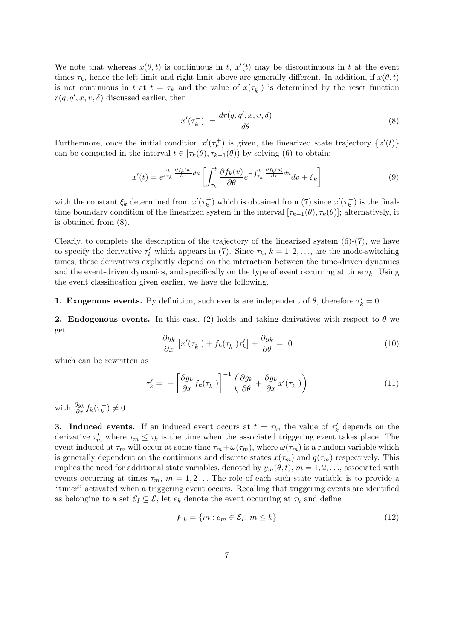We note that whereas  $x(\theta, t)$  is continuous in t,  $x'(t)$  may be discontinuous in t at the event times  $\tau_k$ , hence the left limit and right limit above are generally different. In addition, if  $x(\theta, t)$ is not continuous in t at  $t = \tau_k$  and the value of  $x(\tau_k^+)$  $\binom{+}{k}$  is determined by the reset function  $r(q, q', x, v, \delta)$  discussed earlier, then

$$
x'(\tau_k^+) = \frac{dr(q, q', x, \upsilon, \delta)}{d\theta} \tag{8}
$$

Furthermore, once the initial condition  $x'(\tau_k^+)$  $(k_k^+$ ) is given, the linearized state trajectory  $\{x'(t)\}$ can be computed in the interval  $t \in [\tau_k(\theta), \tau_{k+1}(\theta)]$  by solving (6) to obtain:

$$
x'(t) = e^{\int_{\tau_k}^t \frac{\partial f_k(u)}{\partial x} du} \left[ \int_{\tau_k}^t \frac{\partial f_k(v)}{\partial \theta} e^{-\int_{\tau_k}^t \frac{\partial f_k(u)}{\partial x} du} dv + \xi_k \right]
$$
(9)

with the constant  $\xi_k$  determined from  $x'(\tau_k^+)$  $(x_k^+)$  which is obtained from (7) since  $x'(\tau_k^-)$  $(\bar{k})$  is the finaltime boundary condition of the linearized system in the interval  $[\tau_{k-1}(\theta), \tau_k(\theta)]$ ; alternatively, it is obtained from (8).

Clearly, to complete the description of the trajectory of the linearized system  $(6)-(7)$ , we have to specify the derivative  $\tau'_k$  which appears in (7). Since  $\tau_k$ ,  $k = 1, 2, \ldots$ , are the mode-switching times, these derivatives explicitly depend on the interaction between the time-driven dynamics and the event-driven dynamics, and specifically on the type of event occurring at time  $\tau_k$ . Using the event classification given earlier, we have the following.

**1. Exogenous events.** By definition, such events are independent of  $\theta$ , therefore  $\tau'_{k} = 0$ .

**2. Endogenous events.** In this case, (2) holds and taking derivatives with respect to  $\theta$  we get:

$$
\frac{\partial g_k}{\partial x} \left[ x'(\tau_k^-) + f_k(\tau_k^-) \tau_k' \right] + \frac{\partial g_k}{\partial \theta} = 0 \tag{10}
$$

which can be rewritten as

$$
\tau'_{k} = -\left[\frac{\partial g_{k}}{\partial x} f_{k}(\tau_{k}^{-})\right]^{-1} \left(\frac{\partial g_{k}}{\partial \theta} + \frac{\partial g_{k}}{\partial x} x'(\tau_{k}^{-})\right)
$$
(11)

with  $\frac{\partial g_k}{\partial x} f_k(\tau_k^-)$  $(\frac{-}{k}) \neq 0.$ 

**3.** Induced events. If an induced event occurs at  $t = \tau_k$ , the value of  $\tau'_k$  depends on the derivative  $\tau'_m$  where  $\tau_m \leq \tau_k$  is the time when the associated triggering event takes place. The event induced at  $\tau_m$  will occur at some time  $\tau_m + \omega(\tau_m)$ , where  $\omega(\tau_m)$  is a random variable which is generally dependent on the continuous and discrete states  $x(\tau_m)$  and  $q(\tau_m)$  respectively. This implies the need for additional state variables, denoted by  $y_m(\theta, t)$ ,  $m = 1, 2, \ldots$ , associated with events occurring at times  $\tau_m$ ,  $m = 1, 2...$  The role of each such state variable is to provide a "timer" activated when a triggering event occurs. Recalling that triggering events are identified as belonging to a set  $\mathcal{E}_I \subseteq \mathcal{E}$ , let  $e_k$  denote the event occurring at  $\tau_k$  and define

$$
\mathcal{F}_k = \{ m : e_m \in \mathcal{E}_I, m \le k \} \tag{12}
$$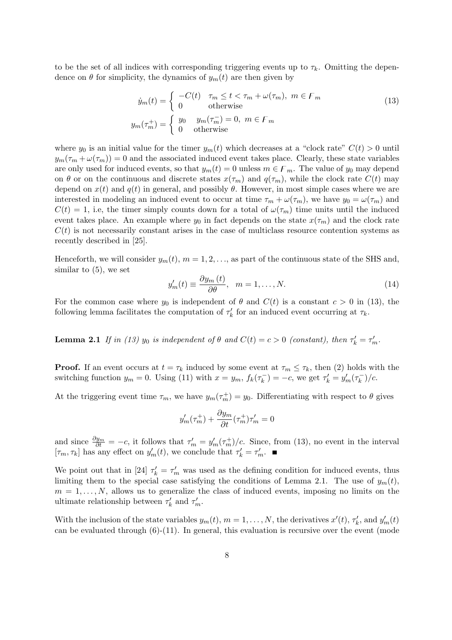to be the set of all indices with corresponding triggering events up to  $\tau_k$ . Omitting the dependence on  $\theta$  for simplicity, the dynamics of  $y_m(t)$  are then given by

$$
\dot{y}_m(t) = \begin{cases}\n-C(t) & \tau_m \le t < \tau_m + \omega(\tau_m), \ m \in F_m \\
0 & \text{otherwise}\n\end{cases}
$$
\n
$$
y_m(\tau_m^+) = \begin{cases}\ny_0 & y_m(\tau_m^-) = 0, \ m \in F_m \\
0 & \text{otherwise}\n\end{cases}
$$
\n(13)

where  $y_0$  is an initial value for the timer  $y_m(t)$  which decreases at a "clock rate"  $C(t) > 0$  until  $y_m(\tau_m + \omega(\tau_m)) = 0$  and the associated induced event takes place. Clearly, these state variables are only used for induced events, so that  $y_m(t) = 0$  unless  $m \in F_m$ . The value of  $y_0$  may depend on  $\theta$  or on the continuous and discrete states  $x(\tau_m)$  and  $q(\tau_m)$ , while the clock rate  $C(t)$  may depend on  $x(t)$  and  $q(t)$  in general, and possibly  $\theta$ . However, in most simple cases where we are interested in modeling an induced event to occur at time  $\tau_m + \omega(\tau_m)$ , we have  $y_0 = \omega(\tau_m)$  and  $C(t) = 1$ , i.e, the timer simply counts down for a total of  $\omega(\tau_m)$  time units until the induced event takes place. An example where  $y_0$  in fact depends on the state  $x(\tau_m)$  and the clock rate  $C(t)$  is not necessarily constant arises in the case of multiclass resource contention systems as recently described in [25].

Henceforth, we will consider  $y_m(t)$ ,  $m = 1, 2, \ldots$ , as part of the continuous state of the SHS and, similar to (5), we set

$$
y'_m(t) \equiv \frac{\partial y_m(t)}{\partial \theta}, \quad m = 1, \dots, N. \tag{14}
$$

For the common case where  $y_0$  is independent of  $\theta$  and  $C(t)$  is a constant  $c > 0$  in (13), the following lemma facilitates the computation of  $\tau'_{k}$  for an induced event occurring at  $\tau_{k}$ .

**Lemma 2.1** If in (13)  $y_0$  is independent of  $\theta$  and  $C(t) = c > 0$  (constant), then  $\tau'_k = \tau'_m$ .

**Proof.** If an event occurs at  $t = \tau_k$  induced by some event at  $\tau_m \leq \tau_k$ , then (2) holds with the switching function  $y_m = 0$ . Using (11) with  $x = y_m$ ,  $f_k(\tau_k^-)$  $(\tau_k^-) = -c$ , we get  $\tau_k' = y_m'(\tau_k^-)$  $(\frac{-}{k})/c.$ 

At the triggering event time  $\tau_m$ , we have  $y_m(\tau_m^+) = y_0$ . Differentiating with respect to  $\theta$  gives

$$
y'_m(\tau_m^+) + \frac{\partial y_m}{\partial t}(\tau_m^+) \tau_m' = 0
$$

and since  $\frac{\partial y_m}{\partial t} = -c$ , it follows that  $\tau'_m = y'_m(\tau_m^+)/c$ . Since, from (13), no event in the interval  $[\tau_m, \tau_k]$  has any effect on  $y'_m(t)$ , we conclude that  $\tau'_k = \tau'_m$ .

We point out that in [24]  $\tau'_{k} = \tau'_{m}$  was used as the defining condition for induced events, thus limiting them to the special case satisfying the conditions of Lemma 2.1. The use of  $y_m(t)$ ,  $m = 1, \ldots, N$ , allows us to generalize the class of induced events, imposing no limits on the ultimate relationship between  $\tau'_k$  and  $\tau'_m$ .

With the inclusion of the state variables  $y_m(t)$ ,  $m = 1, \ldots, N$ , the derivatives  $x'(t)$ ,  $\tau'_k$ , and  $y'_m(t)$ can be evaluated through (6)-(11). In general, this evaluation is recursive over the event (mode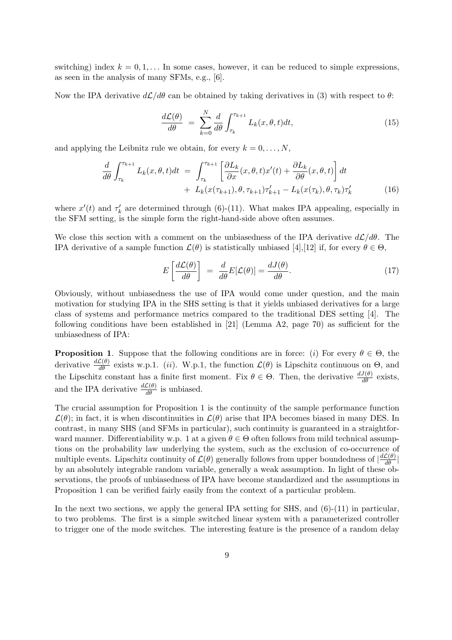switching) index  $k = 0, 1, \ldots$  In some cases, however, it can be reduced to simple expressions, as seen in the analysis of many SFMs, e.g., [6].

Now the IPA derivative  $d\mathcal{L}/d\theta$  can be obtained by taking derivatives in (3) with respect to  $\theta$ :

$$
\frac{d\mathcal{L}(\theta)}{d\theta} = \sum_{k=0}^{N} \frac{d}{d\theta} \int_{\tau_k}^{\tau_{k+1}} L_k(x, \theta, t) dt,
$$
\n(15)

and applying the Leibnitz rule we obtain, for every  $k = 0, \ldots, N$ ,

$$
\frac{d}{d\theta} \int_{\tau_k}^{\tau_{k+1}} L_k(x,\theta,t)dt = \int_{\tau_k}^{\tau_{k+1}} \left[ \frac{\partial L_k}{\partial x}(x,\theta,t)x'(t) + \frac{\partial L_k}{\partial \theta}(x,\theta,t) \right] dt \n+ L_k(x(\tau_{k+1}),\theta,\tau_{k+1})\tau'_{k+1} - L_k(x(\tau_k),\theta,\tau_k)\tau'_{k}
$$
\n(16)

where  $x'(t)$  and  $\tau'_{k}$  are determined through (6)-(11). What makes IPA appealing, especially in the SFM setting, is the simple form the right-hand-side above often assumes.

We close this section with a comment on the unbiasedness of the IPA derivative  $d\mathcal{L}/d\theta$ . The IPA derivative of a sample function  $\mathcal{L}(\theta)$  is statistically unbiased [4],[12] if, for every  $\theta \in \Theta$ ,

$$
E\left[\frac{d\mathcal{L}(\theta)}{d\theta}\right] = \frac{d}{d\theta}E[\mathcal{L}(\theta)] = \frac{dJ(\theta)}{d\theta}.
$$
 (17)

Obviously, without unbiasedness the use of IPA would come under question, and the main motivation for studying IPA in the SHS setting is that it yields unbiased derivatives for a large class of systems and performance metrics compared to the traditional DES setting [4]. The following conditions have been established in [21] (Lemma A2, page 70) as sufficient for the unbiasedness of IPA:

**Proposition 1.** Suppose that the following conditions are in force: (i) For every  $\theta \in \Theta$ , the derivative  $\frac{d\mathcal{L}(\theta)}{d\theta}$  exists w.p.1. (*ii*). W.p.1, the function  $\mathcal{L}(\theta)$  is Lipschitz continuous on  $\Theta$ , and the Lipschitz constant has a finite first moment. Fix  $\theta \in \Theta$ . Then, the derivative  $\frac{dJ(\theta)}{d\theta}$  exists, and the IPA derivative  $\frac{d\mathcal{L}(\theta)}{d\theta}$  is unbiased.

The crucial assumption for Proposition 1 is the continuity of the sample performance function  $\mathcal{L}(\theta)$ ; in fact, it is when discontinuities in  $\mathcal{L}(\theta)$  arise that IPA becomes biased in many DES. In contrast, in many SHS (and SFMs in particular), such continuity is guaranteed in a straightforward manner. Differentiability w.p. 1 at a given  $\theta \in \Theta$  often follows from mild technical assumptions on the probability law underlying the system, such as the exclusion of co-occurrence of multiple events. Lipschitz continuity of  $\mathcal{L}(\theta)$  generally follows from upper boundedness of  $\left|\frac{d\mathcal{L}(\theta)}{d\theta}\right|$ by an absolutely integrable random variable, generally a weak assumption. In light of these observations, the proofs of unbiasedness of IPA have become standardized and the assumptions in Proposition 1 can be verified fairly easily from the context of a particular problem.

In the next two sections, we apply the general IPA setting for SHS, and  $(6)-(11)$  in particular, to two problems. The first is a simple switched linear system with a parameterized controller to trigger one of the mode switches. The interesting feature is the presence of a random delay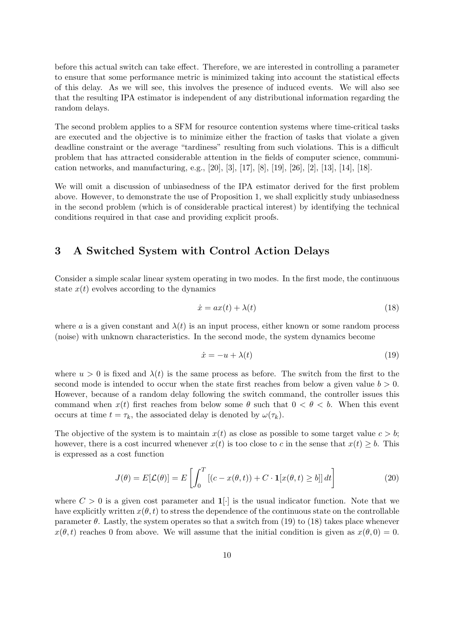before this actual switch can take effect. Therefore, we are interested in controlling a parameter to ensure that some performance metric is minimized taking into account the statistical effects of this delay. As we will see, this involves the presence of induced events. We will also see that the resulting IPA estimator is independent of any distributional information regarding the random delays.

The second problem applies to a SFM for resource contention systems where time-critical tasks are executed and the objective is to minimize either the fraction of tasks that violate a given deadline constraint or the average "tardiness" resulting from such violations. This is a difficult problem that has attracted considerable attention in the fields of computer science, communication networks, and manufacturing, e.g., [20], [3], [17], [8], [19], [26], [2], [13], [14], [18].

We will omit a discussion of unbiasedness of the IPA estimator derived for the first problem above. However, to demonstrate the use of Proposition 1, we shall explicitly study unbiasedness in the second problem (which is of considerable practical interest) by identifying the technical conditions required in that case and providing explicit proofs.

### 3 A Switched System with Control Action Delays

Consider a simple scalar linear system operating in two modes. In the first mode, the continuous state  $x(t)$  evolves according to the dynamics

$$
\dot{x} = ax(t) + \lambda(t) \tag{18}
$$

where a is a given constant and  $\lambda(t)$  is an input process, either known or some random process (noise) with unknown characteristics. In the second mode, the system dynamics become

$$
\dot{x} = -u + \lambda(t) \tag{19}
$$

where  $u > 0$  is fixed and  $\lambda(t)$  is the same process as before. The switch from the first to the second mode is intended to occur when the state first reaches from below a given value  $b > 0$ . However, because of a random delay following the switch command, the controller issues this command when  $x(t)$  first reaches from below some  $\theta$  such that  $0 < \theta < b$ . When this event occurs at time  $t = \tau_k$ , the associated delay is denoted by  $\omega(\tau_k)$ .

The objective of the system is to maintain  $x(t)$  as close as possible to some target value  $c > b$ ; however, there is a cost incurred whenever  $x(t)$  is too close to c in the sense that  $x(t) \geq b$ . This is expressed as a cost function

$$
J(\theta) = E[\mathcal{L}(\theta)] = E\left[\int_0^T \left[ (c - x(\theta, t)) + C \cdot \mathbf{1}[x(\theta, t) \ge b] \right] dt \right]
$$
(20)

where  $C > 0$  is a given cost parameter and  $\mathbf{1}[\cdot]$  is the usual indicator function. Note that we have explicitly written  $x(\theta, t)$  to stress the dependence of the continuous state on the controllable parameter  $\theta$ . Lastly, the system operates so that a switch from (19) to (18) takes place whenever  $x(\theta, t)$  reaches 0 from above. We will assume that the initial condition is given as  $x(\theta, 0) = 0$ .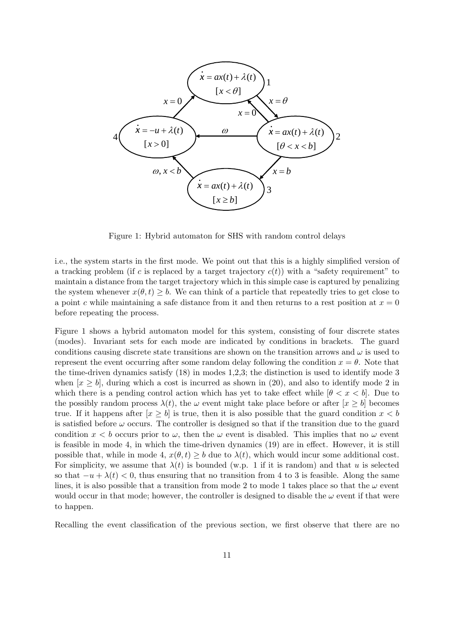

Figure 1: Hybrid automaton for SHS with random control delays

i.e., the system starts in the first mode. We point out that this is a highly simplified version of a tracking problem (if c is replaced by a target trajectory  $c(t)$ ) with a "safety requirement" to maintain a distance from the target trajectory which in this simple case is captured by penalizing the system whenever  $x(\theta, t) \geq b$ . We can think of a particle that repeatedly tries to get close to a point c while maintaining a safe distance from it and then returns to a rest position at  $x = 0$ before repeating the process.

Figure 1 shows a hybrid automaton model for this system, consisting of four discrete states (modes). Invariant sets for each mode are indicated by conditions in brackets. The guard conditions causing discrete state transitions are shown on the transition arrows and  $\omega$  is used to represent the event occurring after some random delay following the condition  $x = \theta$ . Note that the time-driven dynamics satisfy (18) in modes 1,2,3; the distinction is used to identify mode 3 when  $[x > b]$ , during which a cost is incurred as shown in (20), and also to identify mode 2 in which there is a pending control action which has yet to take effect while  $[\theta < x < b]$ . Due to the possibly random process  $\lambda(t)$ , the  $\omega$  event might take place before or after  $[x > b]$  becomes true. If it happens after  $[x \geq b]$  is true, then it is also possible that the guard condition  $x < b$ is satisfied before  $\omega$  occurs. The controller is designed so that if the transition due to the guard condition  $x < b$  occurs prior to  $\omega$ , then the  $\omega$  event is disabled. This implies that no  $\omega$  event is feasible in mode 4, in which the time-driven dynamics (19) are in effect. However, it is still possible that, while in mode 4,  $x(\theta, t) \geq b$  due to  $\lambda(t)$ , which would incur some additional cost. For simplicity, we assume that  $\lambda(t)$  is bounded (w.p. 1 if it is random) and that u is selected so that  $-u + \lambda(t) < 0$ , thus ensuring that no transition from 4 to 3 is feasible. Along the same lines, it is also possible that a transition from mode 2 to mode 1 takes place so that the  $\omega$  event would occur in that mode; however, the controller is designed to disable the  $\omega$  event if that were to happen.

Recalling the event classification of the previous section, we first observe that there are no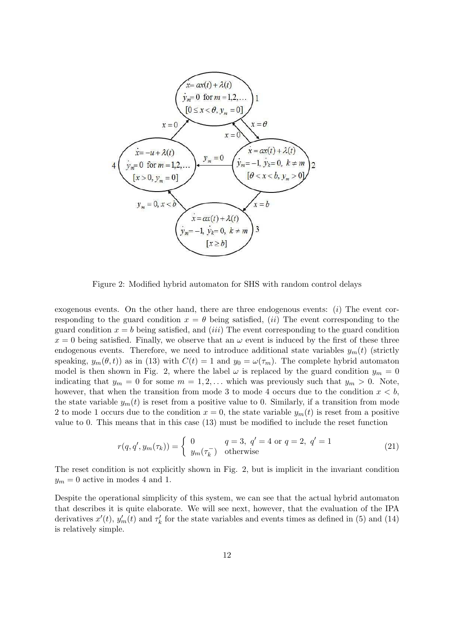

Figure 2: Modified hybrid automaton for SHS with random control delays

exogenous events. On the other hand, there are three endogenous events:  $(i)$  The event corresponding to the guard condition  $x = \theta$  being satisfied, (*ii*) The event corresponding to the guard condition  $x = b$  being satisfied, and *(iii)* The event corresponding to the guard condition  $x = 0$  being satisfied. Finally, we observe that an  $\omega$  event is induced by the first of these three endogenous events. Therefore, we need to introduce additional state variables  $y_m(t)$  (strictly speaking,  $y_m(\theta, t)$  as in (13) with  $C(t) = 1$  and  $y_0 = \omega(\tau_m)$ . The complete hybrid automaton model is then shown in Fig. 2, where the label  $\omega$  is replaced by the guard condition  $y_m = 0$ indicating that  $y_m = 0$  for some  $m = 1, 2, \ldots$  which was previously such that  $y_m > 0$ . Note, however, that when the transition from mode 3 to mode 4 occurs due to the condition  $x < b$ , the state variable  $y_m(t)$  is reset from a positive value to 0. Similarly, if a transition from mode 2 to mode 1 occurs due to the condition  $x = 0$ , the state variable  $y_m(t)$  is reset from a positive value to 0. This means that in this case (13) must be modified to include the reset function

$$
r(q, q', y_m(\tau_k)) = \begin{cases} 0 & q = 3, q' = 4 \text{ or } q = 2, q' = 1\\ y_m(\tau_k^-) & \text{otherwise} \end{cases}
$$
 (21)

The reset condition is not explicitly shown in Fig. 2, but is implicit in the invariant condition  $y_m = 0$  active in modes 4 and 1.

Despite the operational simplicity of this system, we can see that the actual hybrid automaton that describes it is quite elaborate. We will see next, however, that the evaluation of the IPA derivatives  $x'(t)$ ,  $y'_m(t)$  and  $\tau'_k$  for the state variables and events times as defined in (5) and (14) is relatively simple.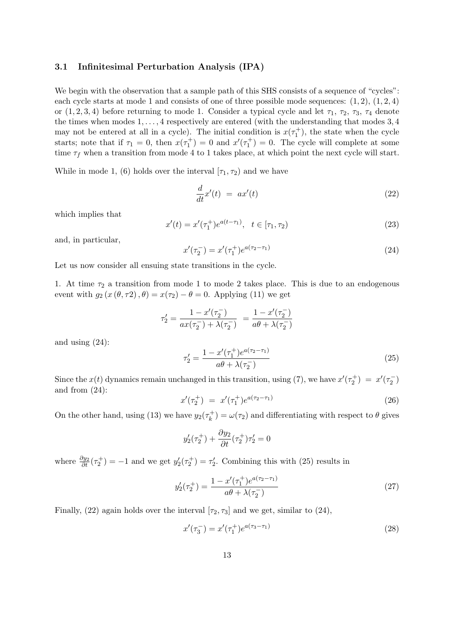#### 3.1 Infinitesimal Perturbation Analysis (IPA)

We begin with the observation that a sample path of this SHS consists of a sequence of "cycles": each cycle starts at mode 1 and consists of one of three possible mode sequences:  $(1, 2), (1, 2, 4)$ or  $(1, 2, 3, 4)$  before returning to mode 1. Consider a typical cycle and let  $\tau_1$ ,  $\tau_2$ ,  $\tau_3$ ,  $\tau_4$  denote the times when modes  $1, \ldots, 4$  respectively are entered (with the understanding that modes  $3, 4$ may not be entered at all in a cycle). The initial condition is  $x(\tau_1^+)$ , the state when the cycle starts; note that if  $\tau_1 = 0$ , then  $x(\tau_1^+) = 0$  and  $x'(\tau_1^+) = 0$ . The cycle will complete at some time  $\tau_f$  when a transition from mode 4 to 1 takes place, at which point the next cycle will start.

While in mode 1, (6) holds over the interval  $[\tau_1, \tau_2]$  and we have

$$
\frac{d}{dt}x'(t) = ax'(t) \tag{22}
$$

which implies that

$$
x'(t) = x'(\tau_1^+)e^{a(t-\tau_1)}, \quad t \in [\tau_1, \tau_2)
$$
\n(23)

and, in particular,

$$
x'(\tau_2^-) = x'(\tau_1^+)e^{a(\tau_2 - \tau_1)}\tag{24}
$$

Let us now consider all ensuing state transitions in the cycle.

1. At time  $\tau_2$  a transition from mode 1 to mode 2 takes place. This is due to an endogenous event with  $g_2(x(\theta, \tau_2), \theta) = x(\tau_2) - \theta = 0$ . Applying (11) we get

$$
\tau_2' = \frac{1 - x'(\tau_2^-)}{ax(\tau_2^-) + \lambda(\tau_2^-)} = \frac{1 - x'(\tau_2^-)}{a\theta + \lambda(\tau_2^-)}
$$

and using (24):

$$
\tau_2' = \frac{1 - x'(\tau_1^+)e^{a(\tau_2 - \tau_1)}}{a\theta + \lambda(\tau_2^-)}
$$
\n(25)

Since the  $x(t)$  dynamics remain unchanged in this transition, using (7), we have  $x'(\tau_2^+) = x'(\tau_2^-)$ and from (24):

$$
x'(\tau_2^+) = x'(\tau_1^+)e^{a(\tau_2 - \tau_1)} \tag{26}
$$

On the other hand, using (13) we have  $y_2(\tau_k^+$  $(k_k^+)=\omega(\tau_2)$  and differentiating with respect to  $\theta$  gives

$$
y_2'(\tau_2^+) + \frac{\partial y_2}{\partial t}(\tau_2^+) \tau_2' = 0
$$

where  $\frac{\partial y_2}{\partial t}(\tau_2^+) = -1$  and we get  $y_2'(\tau_2^+) = \tau_2'$ . Combining this with (25) results in

$$
y_2'(\tau_2^+) = \frac{1 - x'(\tau_1^+)e^{a(\tau_2 - \tau_1)}}{a\theta + \lambda(\tau_2^-)}
$$
\n(27)

Finally, (22) again holds over the interval  $[\tau_2, \tau_3]$  and we get, similar to (24),

$$
x'(\tau_3^-) = x'(\tau_1^+)e^{a(\tau_3 - \tau_1)}\tag{28}
$$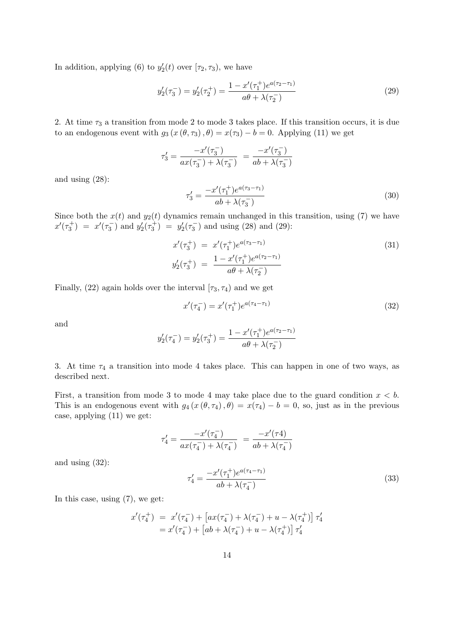In addition, applying (6) to  $y_2'(t)$  over  $[\tau_2, \tau_3)$ , we have

$$
y_2'(\tau_3^-) = y_2'(\tau_2^+) = \frac{1 - x'(\tau_1^+)e^{a(\tau_2 - \tau_1)}}{a\theta + \lambda(\tau_2^-)}
$$
(29)

2. At time  $\tau_3$  a transition from mode 2 to mode 3 takes place. If this transition occurs, it is due to an endogenous event with  $g_3(x(\theta, \tau_3), \theta) = x(\tau_3) - b = 0$ . Applying (11) we get

$$
\tau'_3 = \frac{-x'(\tau_3^-)}{ax(\tau_3^-)+\lambda(\tau_3^-)}\ = \frac{-x'(\tau_3^-)}{ab+\lambda(\tau_3^-)}
$$

and using (28):

$$
\tau_3' = \frac{-x'(\tau_1^+)e^{a(\tau_3 - \tau_1)}}{ab + \lambda(\tau_3^-)}
$$
\n(30)

Since both the  $x(t)$  and  $y_2(t)$  dynamics remain unchanged in this transition, using (7) we have  $x'(\tau_3^+) = x'(\tau_3^-)$  and  $y'_2(\tau_3^+) = y'_2(\tau_3^-)$  and using (28) and (29):

$$
x'(\tau_3^+) = x'(\tau_1^+)e^{a(\tau_3 - \tau_1)}
$$
  
\n
$$
y'_2(\tau_3^+) = \frac{1 - x'(\tau_1^+)e^{a(\tau_2 - \tau_1)}}{a\theta + \lambda(\tau_2)}
$$
\n(31)

Finally, (22) again holds over the interval  $[\tau_3, \tau_4)$  and we get

$$
x'(\tau_4^-) = x'(\tau_1^+)e^{a(\tau_4 - \tau_1)}\tag{32}
$$

and

$$
y_2'(\tau_4^-) = y_2'(\tau_3^+) = \frac{1 - x'(\tau_1^+)e^{a(\tau_2 - \tau_1)}}{a\theta + \lambda(\tau_2^-)}
$$

3. At time  $\tau_4$  a transition into mode 4 takes place. This can happen in one of two ways, as described next.

First, a transition from mode 3 to mode 4 may take place due to the guard condition  $x < b$ . This is an endogenous event with  $g_4(x(\theta, \tau_4), \theta) = x(\tau_4) - b = 0$ , so, just as in the previous case, applying (11) we get:

$$
\tau_4' = \frac{-x'(\tau_4^-)}{ax(\tau_4^-) + \lambda(\tau_4^-)} = \frac{-x'(\tau_4)}{ab + \lambda(\tau_4^-)}
$$

and using (32):

$$
\tau_4' = \frac{-x'(\tau_1^+)e^{a(\tau_4 - \tau_1)}}{ab + \lambda(\tau_4^-)}
$$
\n(33)

In this case, using (7), we get:

$$
\begin{array}{ll} x'(\tau_4^+) & = & x'(\tau_4^-) + \left[ax(\tau_4^-) + \lambda(\tau_4^-) + u - \lambda(\tau_4^+) \right] \tau_4' \\ & = & x'(\tau_4^-) + \left[ab + \lambda(\tau_4^-) + u - \lambda(\tau_4^+) \right] \tau_4' \end{array}
$$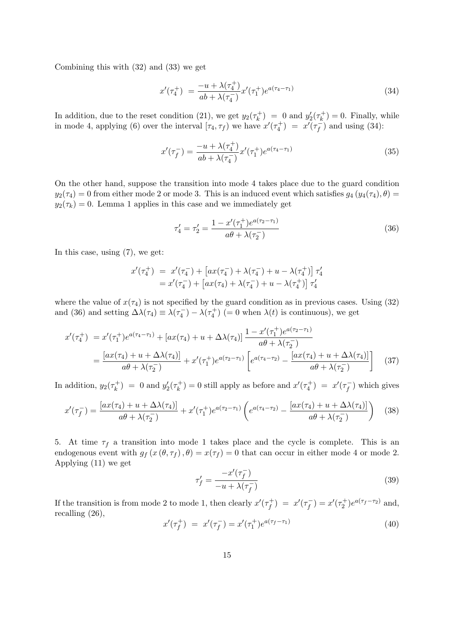Combining this with (32) and (33) we get

$$
x'(\tau_4^+) = \frac{-u + \lambda(\tau_4^+)}{ab + \lambda(\tau_4^-)} x'(\tau_1^+) e^{a(\tau_4 - \tau_1)}
$$
(34)

In addition, due to the reset condition (21), we get  $y_2(\tau_k^+$  $y'_k$  = 0 and  $y'_2(\tau_k^+)$  $(k<sub>k</sub><sup>+</sup>) = 0$ . Finally, while in mode 4, applying (6) over the interval  $[\tau_4, \tau_f)$  we have  $x'(\tau_4^+) = x'(\tau_4^-)$  $(\frac{1}{f})$  and using (34):

$$
x'(\tau_f^-) = \frac{-u + \lambda(\tau_4^+)}{ab + \lambda(\tau_4^-)} x'(\tau_1^+) e^{a(\tau_4 - \tau_1)}
$$
\n(35)

On the other hand, suppose the transition into mode 4 takes place due to the guard condition  $y_2(\tau_4) = 0$  from either mode 2 or mode 3. This is an induced event which satisfies  $g_4(y_4(\tau_4), \theta) =$  $y_2(\tau_k) = 0$ . Lemma 1 applies in this case and we immediately get

$$
\tau_4' = \tau_2' = \frac{1 - x'(\tau_1^+)e^{a(\tau_2 - \tau_1)}}{a\theta + \lambda(\tau_2^-)}
$$
\n(36)

In this case, using (7), we get:

$$
x'(\tau_4^+) = x'(\tau_4^-) + [ax(\tau_4^-) + \lambda(\tau_4^-) + u - \lambda(\tau_4^+)] \tau_4'
$$
  
=  $x'(\tau_4^-) + [ax(\tau_4) + \lambda(\tau_4^-) + u - \lambda(\tau_4^+)] \tau_4'$ 

where the value of  $x(\tau_4)$  is not specified by the guard condition as in previous cases. Using (32) and (36) and setting  $\Delta\lambda(\tau_4) \equiv \lambda(\tau_4^-) - \lambda(\tau_4^+)$  (= 0 when  $\lambda(t)$  is continuous), we get

$$
x'(\tau_4^+) = x'(\tau_1^+)e^{a(\tau_4 - \tau_1)} + [ax(\tau_4) + u + \Delta\lambda(\tau_4)] \frac{1 - x'(\tau_1^+)e^{a(\tau_2 - \tau_1)}}{a\theta + \lambda(\tau_2^-)}
$$
  
= 
$$
\frac{[ax(\tau_4) + u + \Delta\lambda(\tau_4)]}{a\theta + \lambda(\tau_2^-)} + x'(\tau_1^+)e^{a(\tau_2 - \tau_1)} \left[e^{a(\tau_4 - \tau_2)} - \frac{[ax(\tau_4) + u + \Delta\lambda(\tau_4)]}{a\theta + \lambda(\tau_2^-)}\right]
$$
(37)

In addition,  $y_2(\tau_k^+$  $y'_k$  = 0 and  $y'_2(\tau_k^+)$  $(x_k^+)=0$  still apply as before and  $x'(\tau_4^+) = x'(\tau_f^-)$  $(\frac{1}{f})$  which gives

$$
x'(\tau_f^-) = \frac{[ax(\tau_4) + u + \Delta\lambda(\tau_4)]}{a\theta + \lambda(\tau_2^-)} + x'(\tau_1^+)e^{a(\tau_2 - \tau_1)}\left(e^{a(\tau_4 - \tau_2)} - \frac{[ax(\tau_4) + u + \Delta\lambda(\tau_4)]}{a\theta + \lambda(\tau_2^-)}\right)
$$
(38)

5. At time  $\tau_f$  a transition into mode 1 takes place and the cycle is complete. This is an endogenous event with  $g_f(x(\theta, \tau_f), \theta) = x(\tau_f) = 0$  that can occur in either mode 4 or mode 2. Applying (11) we get

$$
\tau_f' = \frac{-x'(\tau_f^-)}{-u + \lambda(\tau_f^-)}
$$
\n(39)

If the transition is from mode 2 to mode 1, then clearly  $x'(\tau_f^+)$  $f^{+}_{f}$ ) =  $x'(\tau_{f}^{-})$  $f_{f}^{-}$ ) =  $x'(\tau_{2}^{+})e^{a(\tau_{f}-\tau_{2})}$  and, recalling (26),

$$
x'(\tau_f^+) = x'(\tau_f^-) = x'(\tau_1^+)e^{a(\tau_f - \tau_1)}
$$
\n(40)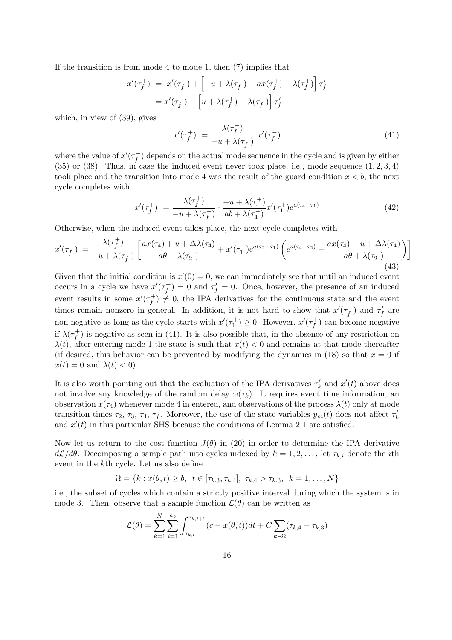If the transition is from mode 4 to mode 1, then (7) implies that

$$
x'(\tau_f^+) = x'(\tau_f^-) + \left[ -u + \lambda(\tau_f^-) - ax(\tau_f^+) - \lambda(\tau_f^+) \right] \tau_f'
$$
  
=  $x'(\tau_f^-) - \left[ u + \lambda(\tau_f^+) - \lambda(\tau_f^-) \right] \tau_f'$ 

which, in view of (39), gives

$$
x'(\tau_f^+) = \frac{\lambda(\tau_f^+)}{-u + \lambda(\tau_f^-)} x'(\tau_f^-)
$$
\n
$$
(41)
$$

where the value of  $x'(\tau_f^-)$  $f_f^{\text{--}}$ ) depends on the actual mode sequence in the cycle and is given by either  $(35)$  or  $(38)$ . Thus, in case the induced event never took place, i.e., mode sequence  $(1, 2, 3, 4)$ took place and the transition into mode 4 was the result of the guard condition  $x < b$ , the next cycle completes with

$$
x'(\tau_f^+) = \frac{\lambda(\tau_f^+)}{-u + \lambda(\tau_f^-)} \cdot \frac{-u + \lambda(\tau_4^+)}{ab + \lambda(\tau_4^-)} x'(\tau_1^+) e^{a(\tau_4 - \tau_1)} \tag{42}
$$

Otherwise, when the induced event takes place, the next cycle completes with

$$
x'(\tau_f^+) = \frac{\lambda(\tau_f^+)}{-u + \lambda(\tau_f^-)} \left[ \frac{ax(\tau_4) + u + \Delta\lambda(\tau_4)}{a\theta + \lambda(\tau_2^-)} + x'(\tau_1^+)e^{a(\tau_2 - \tau_1)} \left( e^{a(\tau_4 - \tau_2)} - \frac{ax(\tau_4) + u + \Delta\lambda(\tau_4)}{a\theta + \lambda(\tau_2^-)} \right) \right]
$$
\n(43)

Given that the initial condition is  $x'(0) = 0$ , we can immediately see that until an induced event occurs in a cycle we have  $x'(\tau_f^+)$  $f_f^{(+)} = 0$  and  $\tau'_f = 0$ . Once, however, the presence of an induced event results in some  $x'(\tau_f^+)$  $(f \mid f) \neq 0$ , the IPA derivatives for the continuous state and the event times remain nonzero in general. In addition, it is not hard to show that  $x'(\tau_f^-)$  $(\tau_f^-)$  and  $\tau_f'$  are non-negative as long as the cycle starts with  $x'(\tau_1^+) \geq 0$ . However,  $x'(\tau_f^+)$  $(f<sup>+</sup>)$  can become negative if  $\lambda(\tau_f^+)$  $f_f^{\dagger}$ ) is negative as seen in (41). It is also possible that, in the absence of any restriction on  $\lambda(t)$ , after entering mode 1 the state is such that  $x(t) < 0$  and remains at that mode thereafter (if desired, this behavior can be prevented by modifying the dynamics in (18) so that  $\dot{x} = 0$  if  $x(t) = 0$  and  $\lambda(t) < 0$ .

It is also worth pointing out that the evaluation of the IPA derivatives  $\tau'_{k}$  and  $x'(t)$  above does not involve any knowledge of the random delay  $\omega(\tau_k)$ . It requires event time information, an observation  $x(\tau_4)$  whenever mode 4 in entered, and observations of the process  $\lambda(t)$  only at mode transition times  $\tau_2$ ,  $\tau_3$ ,  $\tau_4$ ,  $\tau_f$ . Moreover, the use of the state variables  $y_m(t)$  does not affect  $\tau'_k$ and  $x'(t)$  in this particular SHS because the conditions of Lemma 2.1 are satisfied.

Now let us return to the cost function  $J(\theta)$  in (20) in order to determine the IPA derivative  $d\mathcal{L}/d\theta$ . Decomposing a sample path into cycles indexed by  $k = 1, 2, \ldots$ , let  $\tau_{k,i}$  denote the *i*th event in the kth cycle. Let us also define

$$
\Omega = \{k : x(\theta, t) \ge b, \ t \in [\tau_{k,3}, \tau_{k,4}], \ \tau_{k,4} > \tau_{k,3}, \ k = 1, \dots, N\}
$$

i.e., the subset of cycles which contain a strictly positive interval during which the system is in mode 3. Then, observe that a sample function  $\mathcal{L}(\theta)$  can be written as

$$
\mathcal{L}(\theta) = \sum_{k=1}^{N} \sum_{i=1}^{n_k} \int_{\tau_{k,i}}^{\tau_{k,i+1}} (c - x(\theta, t)) dt + C \sum_{k \in \Omega} (\tau_{k,4} - \tau_{k,3})
$$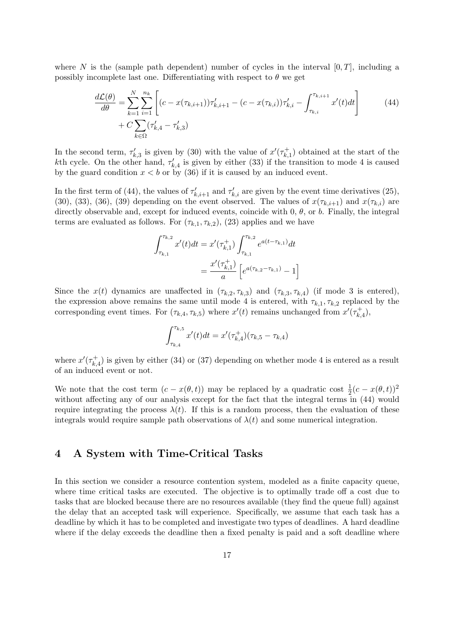where N is the (sample path dependent) number of cycles in the interval  $[0, T]$ , including a possibly incomplete last one. Differentiating with respect to  $\theta$  we get

$$
\frac{d\mathcal{L}(\theta)}{d\theta} = \sum_{k=1}^{N} \sum_{i=1}^{n_k} \left[ (c - x(\tau_{k,i+1})) \tau'_{k,i+1} - (c - x(\tau_{k,i})) \tau'_{k,i} - \int_{\tau_{k,i}}^{\tau_{k,i+1}} x'(t) dt \right] \tag{44}
$$
\n
$$
+ C \sum_{k \in \Omega} (\tau'_{k,4} - \tau'_{k,3})
$$

In the second term,  $\tau'_{k,3}$  is given by (30) with the value of  $x'(\tau_{k,3}^+)$  $(\vec{k},1)$  obtained at the start of the kth cycle. On the other hand,  $\tau'_{k,4}$  is given by either (33) if the transition to mode 4 is caused by the guard condition  $x < b$  or by (36) if it is caused by an induced event.

In the first term of (44), the values of  $\tau'_{k,i+1}$  and  $\tau'_{k,i}$  are given by the event time derivatives (25), (30), (33), (36), (39) depending on the event observed. The values of  $x(\tau_{k,i+1})$  and  $x(\tau_{k,i})$  are directly observable and, except for induced events, coincide with  $0, \theta$ , or  $b$ . Finally, the integral terms are evaluated as follows. For  $(\tau_{k,1}, \tau_{k,2})$ , (23) applies and we have

$$
\int_{\tau_{k,1}}^{\tau_{k,2}} x'(t)dt = x'(\tau_{k,1}^+) \int_{\tau_{k,1}}^{\tau_{k,2}} e^{a(t-\tau_{k,1})}dt
$$

$$
= \frac{x'(\tau_{k,1}^+)}{a} \left[e^{a(\tau_{k,2}-\tau_{k,1})} - 1\right]
$$

Since the  $x(t)$  dynamics are unaffected in  $(\tau_{k,2}, \tau_{k,3})$  and  $(\tau_{k,3}, \tau_{k,4})$  (if mode 3 is entered), the expression above remains the same until mode 4 is entered, with  $\tau_{k,1}, \tau_{k,2}$  replaced by the corresponding event times. For  $(\tau_{k,4}, \tau_{k,5})$  where  $x'(t)$  remains unchanged from  $x'(\tau_{k,5})$  $_{k,4}^{+}),$ 

$$
\int_{\tau_{k,4}}^{\tau_{k,5}} x'(t)dt = x'(\tau_{k,4}^+)(\tau_{k,5} - \tau_{k,4})
$$

where  $x'(\tau_k^+)$  $\kappa_{k,4}^{+}$ ) is given by either (34) or (37) depending on whether mode 4 is entered as a result of an induced event or not.

We note that the cost term  $(c - x(\theta, t))$  may be replaced by a quadratic cost  $\frac{1}{2}(c - x(\theta, t))^2$ without affecting any of our analysis except for the fact that the integral terms in (44) would require integrating the process  $\lambda(t)$ . If this is a random process, then the evaluation of these integrals would require sample path observations of  $\lambda(t)$  and some numerical integration.

### 4 A System with Time-Critical Tasks

In this section we consider a resource contention system, modeled as a finite capacity queue, where time critical tasks are executed. The objective is to optimally trade off a cost due to tasks that are blocked because there are no resources available (they find the queue full) against the delay that an accepted task will experience. Specifically, we assume that each task has a deadline by which it has to be completed and investigate two types of deadlines. A hard deadline where if the delay exceeds the deadline then a fixed penalty is paid and a soft deadline where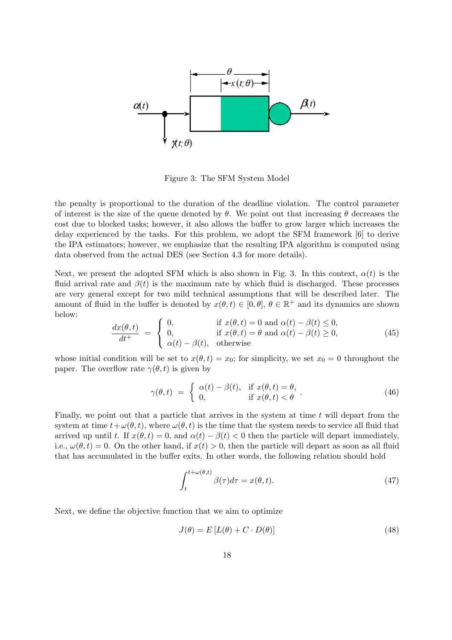

Figure 3: The SFM System Model

the penalty is proportional to the duration of the deadline violation. The control parameter of interest is the size of the queue denoted by  $\theta$ . We point out that increasing  $\theta$  decreases the cost due to blocked tasks; however, it also allows the buffer to grow larger which increases the delay experienced by the tasks. For this problem, we adopt the SFM framework [6] to derive the IPA estimators; however, we emphasize that the resulting IPA algorithm is computed using data observed from the actual DES (see Section 4.3 for more details).

Next, we present the adopted SFM which is also shown in Fig. 3. In this context,  $\alpha(t)$  is the fluid arrival rate and  $\beta(t)$  is the maximum rate by which fluid is discharged. These processes are very general except for two mild technical assumptions that will be described later. The amount of fluid in the buffer is denoted by  $x(\theta, t) \in [0, \theta], \theta \in \mathbb{R}^+$  and its dynamics are shown below:  $\overline{ }$ 

$$
\frac{dx(\theta, t)}{dt^{+}} = \begin{cases}\n0, & \text{if } x(\theta, t) = 0 \text{ and } \alpha(t) - \beta(t) \le 0, \\
0, & \text{if } x(\theta, t) = \theta \text{ and } \alpha(t) - \beta(t) \ge 0, \\
\alpha(t) - \beta(t), & \text{otherwise}\n\end{cases}
$$
\n(45)

whose initial condition will be set to  $x(\theta, t) = x_0$ ; for simplicity, we set  $x_0 = 0$  throughout the paper. The overflow rate  $\gamma(\theta, t)$  is given by

$$
\gamma(\theta, t) = \begin{cases} \alpha(t) - \beta(t), & \text{if } x(\theta, t) = \theta, \\ 0, & \text{if } x(\theta, t) < \theta \end{cases} \tag{46}
$$

Finally, we point out that a particle that arrives in the system at time t will depart from the system at time  $t+\omega(\theta, t)$ , where  $\omega(\theta, t)$  is the time that the system needs to service all fluid that arrived up until t. If  $x(\theta, t) = 0$ , and  $\alpha(t) - \beta(t) < 0$  then the particle will depart immediately, i.e.,  $\omega(\theta, t) = 0$ . On the other hand, if  $x(t) > 0$ , then the particle will depart as soon as all fluid that has accumulated in the buffer exits. In other words, the following relation should hold

$$
\int_{t}^{t+\omega(\theta,t)} \beta(\tau)d\tau = x(\theta,t). \tag{47}
$$

Next, we define the objective function that we aim to optimize

$$
J(\theta) = E\left[L(\theta) + C \cdot D(\theta)\right] \tag{48}
$$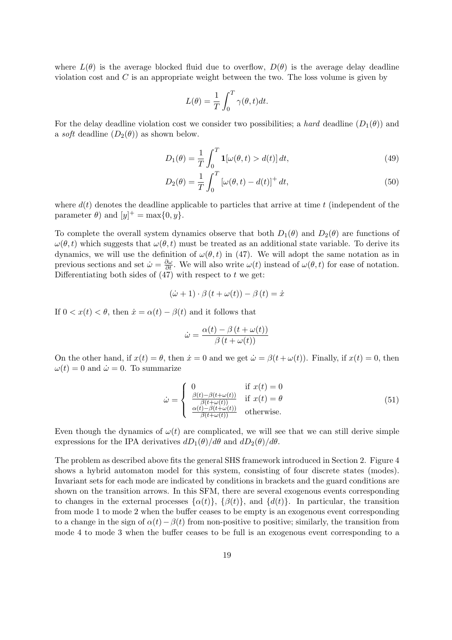where  $L(\theta)$  is the average blocked fluid due to overflow,  $D(\theta)$  is the average delay deadline violation cost and  $C$  is an appropriate weight between the two. The loss volume is given by

$$
L(\theta) = \frac{1}{T} \int_0^T \gamma(\theta, t) dt.
$$

For the delay deadline violation cost we consider two possibilities; a *hard* deadline  $(D_1(\theta))$  and a soft deadline  $(D_2(\theta))$  as shown below.

$$
D_1(\theta) = \frac{1}{T} \int_0^T \mathbf{1}[\omega(\theta, t) > d(t)] dt,
$$
\n(49)

$$
D_2(\theta) = \frac{1}{T} \int_0^T \left[ \omega(\theta, t) - d(t) \right]^+ dt,
$$
\n(50)

where  $d(t)$  denotes the deadline applicable to particles that arrive at time t (independent of the parameter  $\theta$ ) and  $[y]^+$  = max $\{0, y\}$ .

To complete the overall system dynamics observe that both  $D_1(\theta)$  and  $D_2(\theta)$  are functions of  $\omega(\theta, t)$  which suggests that  $\omega(\theta, t)$  must be treated as an additional state variable. To derive its dynamics, we will use the definition of  $\omega(\theta, t)$  in (47). We will adopt the same notation as in previous sections and set  $\dot{\omega} = \frac{\partial \omega}{\partial t}$ . We will also write  $\omega(t)$  instead of  $\omega(\theta, t)$  for ease of notation. Differentiating both sides of  $(47)$  with respect to t we get:

$$
(\dot{\omega} + 1) \cdot \beta (t + \omega(t)) - \beta (t) = \dot{x}
$$

If  $0 < x(t) < \theta$ , then  $\dot{x} = \alpha(t) - \beta(t)$  and it follows that

$$
\dot{\omega} = \frac{\alpha(t) - \beta(t + \omega(t))}{\beta(t + \omega(t))}
$$

On the other hand, if  $x(t) = \theta$ , then  $\dot{x} = 0$  and we get  $\dot{\omega} = \beta(t + \omega(t))$ . Finally, if  $x(t) = 0$ , then  $\omega(t) = 0$  and  $\dot{\omega} = 0$ . To summarize

$$
\dot{\omega} = \begin{cases}\n0 & \text{if } x(t) = 0 \\
\frac{\beta(t) - \beta(t + \omega(t))}{\beta(t + \omega(t))} & \text{if } x(t) = \theta \\
\frac{\alpha(t) - \beta(t + \omega(t))}{\beta(t + \omega(t))} & \text{otherwise.} \n\end{cases}
$$
\n(51)

Even though the dynamics of  $\omega(t)$  are complicated, we will see that we can still derive simple expressions for the IPA derivatives  $dD_1(\theta)/d\theta$  and  $dD_2(\theta)/d\theta$ .

The problem as described above fits the general SHS framework introduced in Section 2. Figure 4 shows a hybrid automaton model for this system, consisting of four discrete states (modes). Invariant sets for each mode are indicated by conditions in brackets and the guard conditions are shown on the transition arrows. In this SFM, there are several exogenous events corresponding to changes in the external processes  $\{\alpha(t)\}\$ ,  $\{\beta(t)\}\$ , and  $\{\overline{d}(t)\}\$ . In particular, the transition from mode 1 to mode 2 when the buffer ceases to be empty is an exogenous event corresponding to a change in the sign of  $\alpha(t)-\beta(t)$  from non-positive to positive; similarly, the transition from mode 4 to mode 3 when the buffer ceases to be full is an exogenous event corresponding to a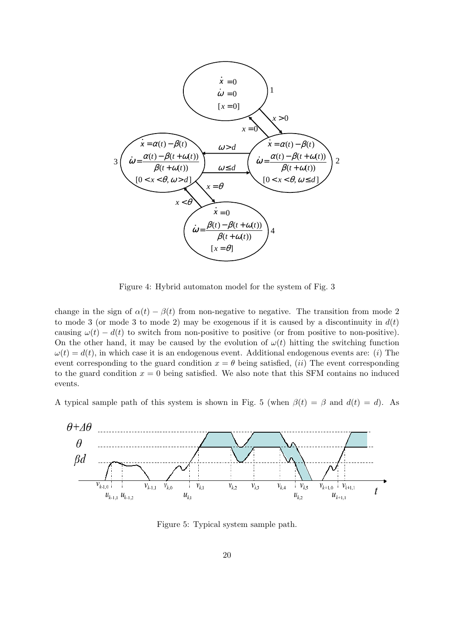

Figure 4: Hybrid automaton model for the system of Fig. 3

change in the sign of  $\alpha(t) - \beta(t)$  from non-negative to negative. The transition from mode 2 to mode 3 (or mode 3 to mode 2) may be exogenous if it is caused by a discontinuity in  $d(t)$ causing  $\omega(t) - d(t)$  to switch from non-positive to positive (or from positive to non-positive). On the other hand, it may be caused by the evolution of  $\omega(t)$  hitting the switching function  $\omega(t) = d(t)$ , in which case it is an endogenous event. Additional endogenous events are: (i) The event corresponding to the guard condition  $x = \theta$  being satisfied, *(ii)* The event corresponding to the guard condition  $x = 0$  being satisfied. We also note that this SFM contains no induced events.

A typical sample path of this system is shown in Fig. 5 (when  $\beta(t) = \beta$  and  $d(t) = d$ ). As



Figure 5: Typical system sample path.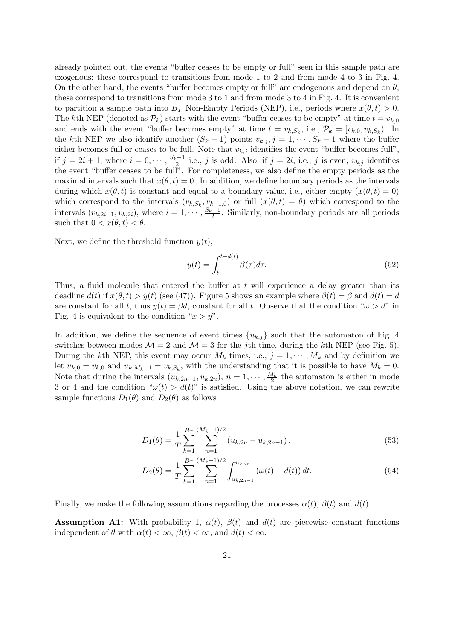already pointed out, the events "buffer ceases to be empty or full" seen in this sample path are exogenous; these correspond to transitions from mode 1 to 2 and from mode 4 to 3 in Fig. 4. On the other hand, the events "buffer becomes empty or full" are endogenous and depend on  $\theta$ ; these correspond to transitions from mode 3 to 1 and from mode 3 to 4 in Fig. 4. It is convenient to partition a sample path into  $B_T$  Non-Empty Periods (NEP), i.e., periods where  $x(\theta, t) > 0$ . The kth NEP (denoted as  $\mathcal{P}_k$ ) starts with the event "buffer ceases to be empty" at time  $t = v_{k,0}$ and ends with the event "buffer becomes empty" at time  $t = v_{k,S_k}$ , i.e.,  $\mathcal{P}_k = [v_{k,0}, v_{k,S_k})$ . In the kth NEP we also identify another  $(S_k - 1)$  points  $v_{k,j}$ ,  $j = 1, \dots, S_k - 1$  where the buffer either becomes full or ceases to be full. Note that  $v_{k,j}$  identifies the event "buffer becomes full", if  $j = 2i + 1$ , where  $i = 0, \dots, \frac{S_k - 1}{2}$  i.e., j is odd. Also, if  $j = 2i$ , i.e., j is even,  $v_{k,j}$  identifies the event "buffer ceases to be full". For completeness, we also define the empty periods as the maximal intervals such that  $x(\theta, t) = 0$ . In addition, we define boundary periods as the intervals during which  $x(\theta, t)$  is constant and equal to a boundary value, i.e., either empty  $(x(\theta, t) = 0)$ which correspond to the intervals  $(v_{k,S_k}, v_{k+1,0})$  or full  $(x(\theta, t) = \theta)$  which correspond to the intervals  $(v_{k,2i-1}, v_{k,2i})$ , where  $i = 1, \dots, \frac{S_k-1}{2}$ . Similarly, non-boundary periods are all periods such that  $0 < x(\theta, t) < \theta$ .

Next, we define the threshold function  $y(t)$ ,

$$
y(t) = \int_{t}^{t + d(t)} \beta(\tau) d\tau.
$$
 (52)

Thus, a fluid molecule that entered the buffer at  $t$  will experience a delay greater than its deadline  $d(t)$  if  $x(\theta, t) > y(t)$  (see (47)). Figure 5 shows an example where  $\beta(t) = \beta$  and  $d(t) = d$ are constant for all t, thus  $y(t) = \beta d$ , constant for all t. Observe that the condition " $\omega > d$ " in Fig. 4 is equivalent to the condition " $x > y$ ".

In addition, we define the sequence of event times  $\{u_{k,j}\}\$  such that the automaton of Fig. 4 switches between modes  $\mathcal{M} = 2$  and  $\mathcal{M} = 3$  for the jth time, during the kth NEP (see Fig. 5). During the kth NEP, this event may occur  $M_k$  times, i.e.,  $j = 1, \dots, M_k$  and by definition we let  $u_{k,0} = v_{k,0}$  and  $u_{k,M_k+1} = v_{k,S_k}$ , with the understanding that it is possible to have  $M_k = 0$ . Note that during the intervals  $(u_{k,2n-1}, u_{k,2n}), n = 1, \cdots, \frac{M_k}{2}$  the automaton is either in mode 3 or 4 and the condition " $\omega(t) > d(t)$ " is satisfied. Using the above notation, we can rewrite sample functions  $D_1(\theta)$  and  $D_2(\theta)$  as follows

$$
D_1(\theta) = \frac{1}{T} \sum_{k=1}^{B_T} \sum_{n=1}^{(M_k - 1)/2} (u_{k,2n} - u_{k,2n-1}).
$$
\n(53)

$$
D_2(\theta) = \frac{1}{T} \sum_{k=1}^{B_T} \sum_{n=1}^{(M_k - 1)/2} \int_{u_{k,2n-1}}^{u_{k,2n}} (\omega(t) - d(t)) dt.
$$
 (54)

Finally, we make the following assumptions regarding the processes  $\alpha(t)$ ,  $\beta(t)$  and  $d(t)$ .

**Assumption A1:** With probability 1,  $\alpha(t)$ ,  $\beta(t)$  and  $d(t)$  are piecewise constant functions independent of  $\theta$  with  $\alpha(t) < \infty$ ,  $\beta(t) < \infty$ , and  $d(t) < \infty$ .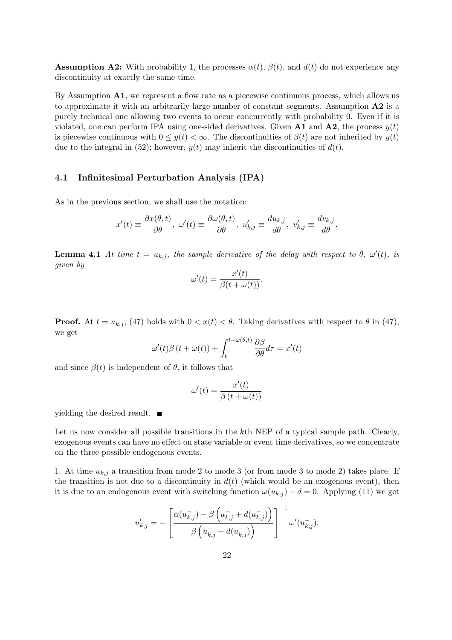**Assumption A2:** With probability 1, the processes  $\alpha(t)$ ,  $\beta(t)$ , and  $d(t)$  do not experience any discontinuity at exactly the same time.

By Assumption A1, we represent a flow rate as a piecewise continuous process, which allows us to approximate it with an arbitrarily large number of constant segments. Assumption A2 is a purely technical one allowing two events to occur concurrently with probability 0. Even if it is violated, one can perform IPA using one-sided derivatives. Given **A1** and **A2**, the process  $y(t)$ is piecewise continuous with  $0 \leq y(t) < \infty$ . The discontinuities of  $\beta(t)$  are not inherited by  $y(t)$ due to the integral in (52); however,  $y(t)$  may inherit the discontinuities of  $d(t)$ .

#### 4.1 Infinitesimal Perturbation Analysis (IPA)

As in the previous section, we shall use the notation:

$$
x'(t) \equiv \frac{\partial x(\theta, t)}{\partial \theta}, \ \omega'(t) \equiv \frac{\partial \omega(\theta, t)}{\partial \theta}, \ u'_{k,j} \equiv \frac{du_{k,j}}{d\theta}, \ v'_{k,j} \equiv \frac{dv_{k,j}}{d\theta}.
$$

**Lemma 4.1** At time  $t = u_{k,j}$ , the sample derivative of the delay with respect to  $\theta$ ,  $\omega'(t)$ , is given by

$$
\omega'(t) = \frac{x'(t)}{\beta(t + \omega(t))}.
$$

**Proof.** At  $t = u_{k,j}$ , (47) holds with  $0 < x(t) < \theta$ . Taking derivatives with respect to  $\theta$  in (47), we get

$$
\omega'(t)\beta(t+\omega(t)) + \int_{t}^{t+\omega(\theta,t)} \frac{\partial \beta}{\partial \theta} d\tau = x'(t)
$$

and since  $\beta(t)$  is independent of  $\theta$ , it follows that

$$
\omega'(t) = \frac{x'(t)}{\beta(t + \omega(t))}
$$

yielding the desired result. ■

Let us now consider all possible transitions in the kth NEP of a typical sample path. Clearly, exogenous events can have no effect on state variable or event time derivatives, so we concentrate on the three possible endogenous events.

1. At time  $u_{k,i}$  a transition from mode 2 to mode 3 (or from mode 3 to mode 2) takes place. If the transition is not due to a discontinuity in  $d(t)$  (which would be an exogenous event), then it is due to an endogenous event with switching function  $\omega(u_{k,j}) - d = 0$ . Applying (11) we get

$$
u_{k,j}' = -\left[\frac{\alpha(u_{k,j}^-) - \beta\left(u_{k,j}^- + d(u_{k,j}^-)\right)}{\beta\left(u_{k,j}^- + d(u_{k,j}^-)\right)}\right]^{-1} \omega'(u_{k,j}^-).
$$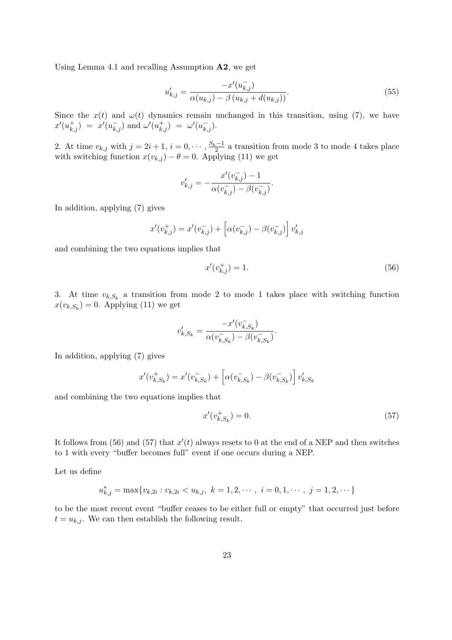Using Lemma 4.1 and recalling Assumption  $\mathbf{A2}$ , we get

$$
u'_{k,j} = \frac{-x'(u_{k,j}^-)}{\alpha(u_{k,j}) - \beta(u_{k,j} + d(u_{k,j}))}.
$$
\n(55)

.

.

Since the  $x(t)$  and  $\omega(t)$  dynamics remain unchanged in this transition, using (7), we have  $x'(u_{k,j}^+) = x'(u_{k,j}^-)$  and  $\omega'(u_{k,j}^+) = \omega'(u_{k,j}^-)$ .

2. At time  $v_{k,j}$  with  $j = 2i + 1$ ,  $i = 0, \dots, \frac{S_k - 1}{2}$  a transition from mode 3 to mode 4 takes place with switching function  $x(v_{k,j}) - \theta = 0$ . Applying (11) we get

$$
v'_{k,j} = -\frac{x'(v_{k,j}^-) - 1}{\alpha(v_{k,j}^-) - \beta(v_{k,j}^-)}
$$

In addition, applying (7) gives

$$
x'(v_{k,j}^+) = x'(v_{k,j}^-) + \left[ \alpha(v_{k,j}^-) - \beta(v_{k,j}^-) \right] v_{k,j}'
$$

and combining the two equations implies that

$$
x'(v_{k,j}^+) = 1.\t\t(56)
$$

3. At time  $v_{k,S_k}$  a transition from mode 2 to mode 1 takes place with switching function  $x(v_{k,S_k}) = 0$ . Applying (11) we get

$$
v'_{k,S_k}=\frac{-x'(v_{k,S_k}^-)}{\alpha(v_{k,S_k}^-)-\beta(v_{k,S_k}^-)}
$$

In addition, applying (7) gives

$$
x'(v_{k,S_k}^+) = x'(v_{k,S_k}^-) + \left[\alpha(v_{k,S_k}^-) - \beta(v_{k,S_k}^-)\right]v_{k,S_k}'
$$

and combining the two equations implies that

$$
x'(v_{k,S_k}^+) = 0.\t\t(57)
$$

It follows from (56) and (57) that  $x'(t)$  always resets to 0 at the end of a NEP and then switches to 1 with every "buffer becomes full" event if one occurs during a NEP.

Let us define

$$
u_{k,j}^* = \max\{v_{k,2i} : v_{k,2i} < u_{k,j}, \ k = 1, 2, \cdots, \ i = 0, 1, \cdots, \ j = 1, 2, \cdots\}
$$

to be the most recent event "buffer ceases to be either full or empty" that occurred just before  $t = u_{k,i}$ . We can then establish the following result.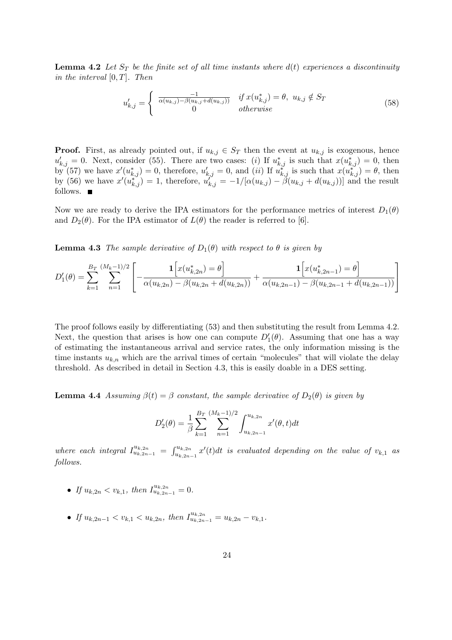**Lemma 4.2** Let  $S_T$  be the finite set of all time instants where  $d(t)$  experiences a discontinuity in the interval  $[0, T]$ . Then

$$
u'_{k,j} = \begin{cases} \frac{-1}{\alpha(u_{k,j}) - \beta(u_{k,j} + d(u_{k,j}))} & \text{if } x(u^*_{k,j}) = \theta, \ u_{k,j} \notin S_T \\ 0 & \text{otherwise} \end{cases}
$$
(58)

**Proof.** First, as already pointed out, if  $u_{k,j} \in S_T$  then the event at  $u_{k,j}$  is exogenous, hence  $u'_{k,j} = 0$ . Next, consider (55). There are two cases: (i) If  $u^*_{k,j}$  is such that  $x(u^*_{k,j}) = 0$ , then by (57) we have  $x'(u_{k,j}^*) = 0$ , therefore,  $u'_{k,j} = 0$ , and *(ii)* If  $u_{k,j}^*$  is such that  $x(u_{k,j}^*) = \theta$ , then by (56) we have  $x'(u_{k,j}^*) = 1$ , therefore,  $u_{k,j}^{\prime\prime} = -1/[\alpha(u_{k,j}) - \beta(u_{k,j} + d(u_{k,j}))]$  and the result follows. ■

Now we are ready to derive the IPA estimators for the performance metrics of interest  $D_1(\theta)$ and  $D_2(\theta)$ . For the IPA estimator of  $L(\theta)$  the reader is referred to [6].

**Lemma 4.3** The sample derivative of  $D_1(\theta)$  with respect to  $\theta$  is given by

$$
D_1'(\theta) = \sum_{k=1}^{B_T} \sum_{n=1}^{(M_k-1)/2} \left[ -\frac{\mathbf{1}\Big[x(u_{k,2n}^*) = \theta\Big]}{\alpha(u_{k,2n}) - \beta(u_{k,2n} + d(u_{k,2n}))} + \frac{\mathbf{1}\Big[x(u_{k,2n-1}^*) = \theta\Big]}{\alpha(u_{k,2n-1}) - \beta(u_{k,2n-1} + d(u_{k,2n-1}))} \right]
$$

The proof follows easily by differentiating (53) and then substituting the result from Lemma 4.2. Next, the question that arises is how one can compute  $D'_{1}(\theta)$ . Assuming that one has a way of estimating the instantaneous arrival and service rates, the only information missing is the time instants  $u_{k,n}$  which are the arrival times of certain "molecules" that will violate the delay threshold. As described in detail in Section 4.3, this is easily doable in a DES setting.

**Lemma 4.4** Assuming  $\beta(t) = \beta$  constant, the sample derivative of  $D_2(\theta)$  is given by

$$
D_2'(\theta) = \frac{1}{\beta} \sum_{k=1}^{B_T} \sum_{n=1}^{(M_k - 1)/2} \int_{u_{k,2n-1}}^{u_{k,2n}} x'(\theta, t) dt
$$

where each integral  $I_{u_{k,2n-1}}^{u_{k,2n}} = \int_{u_k}^{u_{k,2n}}$  $\int_{u_{k,2n-1}}^{u_{k,2n}} x'(t)dt$  is evaluated depending on the value of  $v_{k,1}$  as follows.

- If  $u_{k,2n} < v_{k,1}$ , then  $I_{u_{k,2n-1}}^{u_{k,2n}} = 0$ .
- If  $u_{k,2n-1} < v_{k,1} < u_{k,2n}$ , then  $I_{u_{k,2n-1}}^{u_{k,2n}} = u_{k,2n} v_{k,1}$ .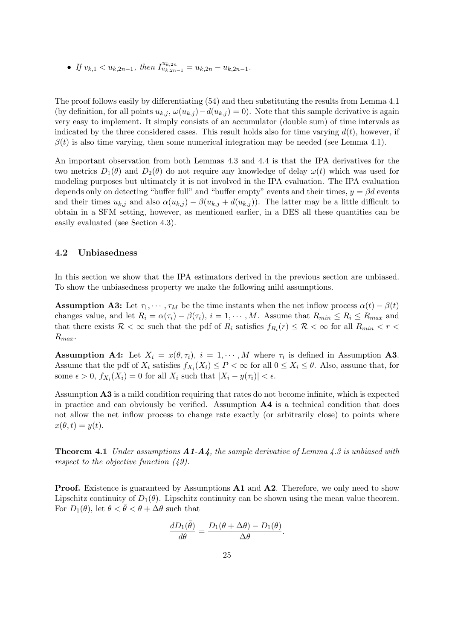• If  $v_{k,1} < u_{k,2n-1}$ , then  $I_{u_{k,2n-1}}^{u_{k,2n}} = u_{k,2n} - u_{k,2n-1}$ .

The proof follows easily by differentiating (54) and then substituting the results from Lemma 4.1 (by definition, for all points  $u_{k,j}$ ,  $\omega(u_{k,j}) - d(u_{k,j}) = 0$ ). Note that this sample derivative is again very easy to implement. It simply consists of an accumulator (double sum) of time intervals as indicated by the three considered cases. This result holds also for time varying  $d(t)$ , however, if  $\beta(t)$  is also time varying, then some numerical integration may be needed (see Lemma 4.1).

An important observation from both Lemmas 4.3 and 4.4 is that the IPA derivatives for the two metrics  $D_1(\theta)$  and  $D_2(\theta)$  do not require any knowledge of delay  $\omega(t)$  which was used for modeling purposes but ultimately it is not involved in the IPA evaluation. The IPA evaluation depends only on detecting "buffer full" and "buffer empty" events and their times,  $y = \beta d$  events and their times  $u_{k,j}$  and also  $\alpha(u_{k,j}) - \beta(u_{k,j} + d(u_{k,j}))$ . The latter may be a little difficult to obtain in a SFM setting, however, as mentioned earlier, in a DES all these quantities can be easily evaluated (see Section 4.3).

#### 4.2 Unbiasedness

In this section we show that the IPA estimators derived in the previous section are unbiased. To show the unbiasedness property we make the following mild assumptions.

**Assumption A3:** Let  $\tau_1, \dots, \tau_M$  be the time instants when the net inflow process  $\alpha(t) - \beta(t)$ changes value, and let  $R_i = \alpha(\tau_i) - \beta(\tau_i)$ ,  $i = 1, \dots, M$ . Assume that  $R_{min} \leq R_i \leq R_{max}$  and that there exists  $\mathcal{R} < \infty$  such that the pdf of  $R_i$  satisfies  $f_{R_i}(r) \leq \mathcal{R} < \infty$  for all  $R_{min} < r <$  $R_{max}$ .

**Assumption A4:** Let  $X_i = x(\theta, \tau_i)$ ,  $i = 1, \dots, M$  where  $\tau_i$  is defined in Assumption A3. Assume that the pdf of  $X_i$  satisfies  $f_{X_i}(X_i) \leq P \lt \infty$  for all  $0 \leq X_i \leq \theta$ . Also, assume that, for some  $\epsilon > 0$ ,  $f_{X_i}(X_i) = 0$  for all  $X_i$  such that  $|X_i - y(\tau_i)| < \epsilon$ .

Assumption A3 is a mild condition requiring that rates do not become infinite, which is expected in practice and can obviously be verified. Assumption A4 is a technical condition that does not allow the net inflow process to change rate exactly (or arbitrarily close) to points where  $x(\theta, t) = y(t).$ 

**Theorem 4.1** Under assumptions  $A1-A4$ , the sample derivative of Lemma 4.3 is unbiased with respect to the objective function (49).

**Proof.** Existence is guaranteed by Assumptions **A1** and **A2**. Therefore, we only need to show Lipschitz continuity of  $D_1(\theta)$ . Lipschitz continuity can be shown using the mean value theorem. For  $D_1(\theta)$ , let  $\theta < \bar{\theta} < \theta + \Delta\theta$  such that

$$
\frac{dD_1(\bar{\theta})}{d\theta} = \frac{D_1(\theta + \Delta\theta) - D_1(\theta)}{\Delta\theta}.
$$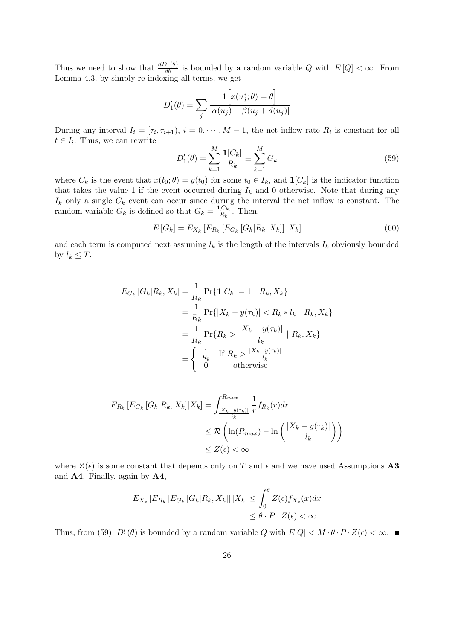Thus we need to show that  $\frac{dD_1(\bar{\theta})}{d\theta}$  is bounded by a random variable Q with  $E[Q] < \infty$ . From Lemma 4.3, by simply re-indexing all terms, we get

$$
D'_1(\theta) = \sum_j \frac{\mathbf{1}\Big[x(u_j^*; \theta) = \theta\Big]}{|\alpha(u_j) - \beta(u_j + d(u_j)|)}
$$

During any interval  $I_i = [\tau_i, \tau_{i+1}), i = 0, \cdots, M-1$ , the net inflow rate  $R_i$  is constant for all  $t \in I_i$ . Thus, we can rewrite

$$
D_1'(\theta) = \sum_{k=1}^M \frac{\mathbf{1}[C_k]}{R_k} \equiv \sum_{k=1}^M G_k
$$
\n(59)

where  $C_k$  is the event that  $x(t_0; \theta) = y(t_0)$  for some  $t_0 \in I_k$ , and  $\mathbf{1}[C_k]$  is the indicator function that takes the value 1 if the event occurred during  $I_k$  and 0 otherwise. Note that during any  $I_k$  only a single  $C_k$  event can occur since during the interval the net inflow is constant. The random variable  $G_k$  is defined so that  $G_k = \frac{\mathbf{1}[C_k]}{R_k}$  $\frac{|C_k|}{R_k}$ . Then,

$$
E\left[G_k\right] = E_{X_k}\left[E_{R_k}\left[G_k\left[G_k\left|R_k, X_k\right]\right]\right|X_k\right] \tag{60}
$$

and each term is computed next assuming  $l_k$  is the length of the intervals  $I_k$  obviously bounded by  $l_k \leq T$ .

$$
E_{G_k}[G_k|R_k, X_k] = \frac{1}{R_k} \Pr\{1[C_k] = 1 \mid R_k, X_k\}
$$
  
=  $\frac{1}{R_k} \Pr\{|X_k - y(\tau_k)| < R_k * l_k \mid R_k, X_k\}$   
=  $\frac{1}{R_k} \Pr\{R_k > \frac{|X_k - y(\tau_k)|}{l_k} \mid R_k, X_k\}$   
=  $\begin{cases} \frac{1}{R_k} & \text{If } R_k > \frac{|X_k - y(\tau_k)|}{l_k} \\ 0 & \text{otherwise} \end{cases}$ 

$$
E_{R_k} [E_{G_k} [G_k | R_k, X_k] | X_k] = \int_{\frac{|X_k - y(\tau_k)|}{l_k}}^{R_{max}} \frac{1}{r} f_{R_k}(r) dr
$$
  

$$
\leq \mathcal{R} \left( \ln(R_{max}) - \ln \left( \frac{|X_k - y(\tau_k)|}{l_k} \right) \right)
$$
  

$$
\leq Z(\epsilon) < \infty
$$

where  $Z(\epsilon)$  is some constant that depends only on T and  $\epsilon$  and we have used Assumptions A3 and A4. Finally, again by A4,

$$
E_{X_k} [E_{R_k} [E_{G_k} [G_k | R_k, X_k]] | X_k] \le \int_0^{\theta} Z(\epsilon) f_{X_k}(x) dx
$$
  

$$
\le \theta \cdot P \cdot Z(\epsilon) < \infty.
$$

Thus, from (59),  $D'_1(\theta)$  is bounded by a random variable Q with  $E[Q] < M \cdot \theta \cdot P \cdot Z(\epsilon) < \infty$ .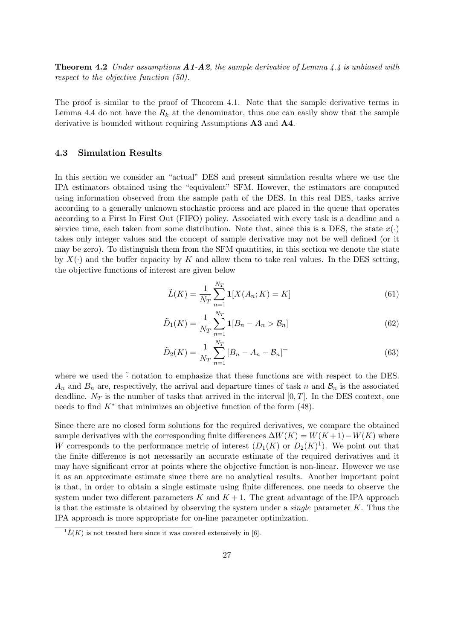**Theorem 4.2** Under assumptions  $A1-A2$ , the sample derivative of Lemma 4.4 is unbiased with respect to the objective function (50).

The proof is similar to the proof of Theorem 4.1. Note that the sample derivative terms in Lemma 4.4 do not have the  $R_k$  at the denominator, thus one can easily show that the sample derivative is bounded without requiring Assumptions A3 and A4.

#### 4.3 Simulation Results

In this section we consider an "actual" DES and present simulation results where we use the IPA estimators obtained using the "equivalent" SFM. However, the estimators are computed using information observed from the sample path of the DES. In this real DES, tasks arrive according to a generally unknown stochastic process and are placed in the queue that operates according to a First In First Out (FIFO) policy. Associated with every task is a deadline and a service time, each taken from some distribution. Note that, since this is a DES, the state  $x(\cdot)$ takes only integer values and the concept of sample derivative may not be well defined (or it may be zero). To distinguish them from the SFM quantities, in this section we denote the state by  $X(\cdot)$  and the buffer capacity by K and allow them to take real values. In the DES setting, the objective functions of interest are given below

$$
\tilde{L}(K) = \frac{1}{N_T} \sum_{n=1}^{N_T} \mathbf{1}[X(A_n; K) = K]
$$
\n(61)

$$
\tilde{D}_1(K) = \frac{1}{N_T} \sum_{n=1}^{N_T} \mathbf{1}[B_n - A_n > \mathcal{B}_n] \tag{62}
$$

$$
\tilde{D}_2(K) = \frac{1}{N_T} \sum_{n=1}^{N_T} \left[ B_n - A_n - B_n \right]^+ \tag{63}
$$

where we used the  $\tilde{\cdot}$  notation to emphasize that these functions are with respect to the DES.  $A_n$  and  $B_n$  are, respectively, the arrival and departure times of task n and  $B_n$  is the associated deadline.  $N_T$  is the number of tasks that arrived in the interval [0, T]. In the DES context, one needs to find  $K^*$  that minimizes an objective function of the form  $(48)$ .

Since there are no closed form solutions for the required derivatives, we compare the obtained sample derivatives with the corresponding finite differences  $\Delta W(K) = W(K+1) - W(K)$  where W corresponds to the performance metric of interest  $(D_1(K)$  or  $D_2(K)^1$ ). We point out that the finite difference is not necessarily an accurate estimate of the required derivatives and it may have significant error at points where the objective function is non-linear. However we use it as an approximate estimate since there are no analytical results. Another important point is that, in order to obtain a single estimate using finite differences, one needs to observe the system under two different parameters  $K$  and  $K + 1$ . The great advantage of the IPA approach is that the estimate is obtained by observing the system under a *single* parameter  $K$ . Thus the IPA approach is more appropriate for on-line parameter optimization.

 $\overline{L(K)}$  is not treated here since it was covered extensively in [6].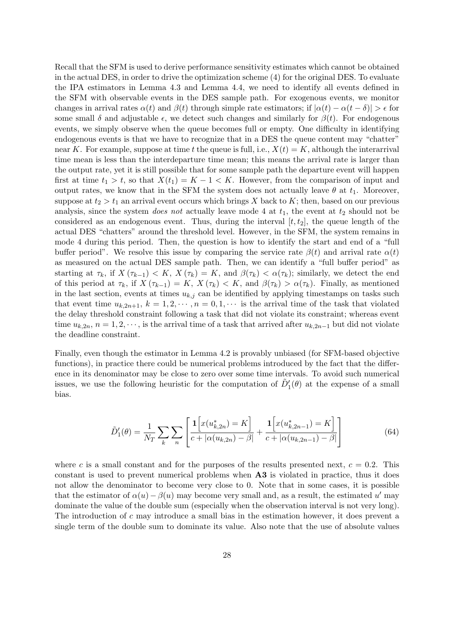Recall that the SFM is used to derive performance sensitivity estimates which cannot be obtained in the actual DES, in order to drive the optimization scheme (4) for the original DES. To evaluate the IPA estimators in Lemma 4.3 and Lemma 4.4, we need to identify all events defined in the SFM with observable events in the DES sample path. For exogenous events, we monitor changes in arrival rates  $\alpha(t)$  and  $\beta(t)$  through simple rate estimators; if  $|\alpha(t) - \alpha(t - \delta)| > \epsilon$  for some small  $\delta$  and adjustable  $\epsilon$ , we detect such changes and similarly for  $\beta(t)$ . For endogenous events, we simply observe when the queue becomes full or empty. One difficulty in identifying endogenous events is that we have to recognize that in a DES the queue content may "chatter" near K. For example, suppose at time t the queue is full, i.e.,  $X(t) = K$ , although the interarrival time mean is less than the interdeparture time mean; this means the arrival rate is larger than the output rate, yet it is still possible that for some sample path the departure event will happen first at time  $t_1 > t$ , so that  $X(t_1) = K - 1 < K$ . However, from the comparison of input and output rates, we know that in the SFM the system does not actually leave  $\theta$  at  $t_1$ . Moreover, suppose at  $t_2 > t_1$  an arrival event occurs which brings X back to K; then, based on our previous analysis, since the system *does not* actually leave mode 4 at  $t_1$ , the event at  $t_2$  should not be considered as an endogenous event. Thus, during the interval  $[t, t_2]$ , the queue length of the actual DES "chatters" around the threshold level. However, in the SFM, the system remains in mode 4 during this period. Then, the question is how to identify the start and end of a "full buffer period". We resolve this issue by comparing the service rate  $\beta(t)$  and arrival rate  $\alpha(t)$ as measured on the actual DES sample path. Then, we can identify a "full buffer period" as starting at  $\tau_k$ , if  $X(\tau_{k-1}) < K$ ,  $X(\tau_k) = K$ , and  $\beta(\tau_k) < \alpha(\tau_k)$ ; similarly, we detect the end of this period at  $\tau_k$ , if  $X(\tau_{k-1}) = K$ ,  $X(\tau_k) < K$ , and  $\beta(\tau_k) > \alpha(\tau_k)$ . Finally, as mentioned in the last section, events at times  $u_{k,j}$  can be identified by applying timestamps on tasks such that event time  $u_{k,2n+1}, k = 1, 2, \cdots, n = 0, 1, \cdots$  is the arrival time of the task that violated the delay threshold constraint following a task that did not violate its constraint; whereas event time  $u_{k,2n}, n = 1, 2, \dots$ , is the arrival time of a task that arrived after  $u_{k,2n-1}$  but did not violate the deadline constraint.

Finally, even though the estimator in Lemma 4.2 is provably unbiased (for SFM-based objective functions), in practice there could be numerical problems introduced by the fact that the difference in its denominator may be close to zero over some time intervals. To avoid such numerical issues, we use the following heuristic for the computation of  $\tilde{D}'_1(\theta)$  at the expense of a small bias.

$$
\tilde{D}'_1(\theta) = \frac{1}{N_T} \sum_k \sum_n \left[ \frac{\mathbf{1}\left[x(u^*_{k,2n}) = K\right]}{c + |\alpha(u_{k,2n}) - \beta|} + \frac{\mathbf{1}\left[x(u^*_{k,2n-1}) = K\right]}{c + |\alpha(u_{k,2n-1}) - \beta|} \right]
$$
\n(64)

where c is a small constant and for the purposes of the results presented next,  $c = 0.2$ . This constant is used to prevent numerical problems when A3 is violated in practice, thus it does not allow the denominator to become very close to 0. Note that in some cases, it is possible that the estimator of  $\alpha(u) - \beta(u)$  may become very small and, as a result, the estimated u' may dominate the value of the double sum (especially when the observation interval is not very long). The introduction of c may introduce a small bias in the estimation however, it does prevent a single term of the double sum to dominate its value. Also note that the use of absolute values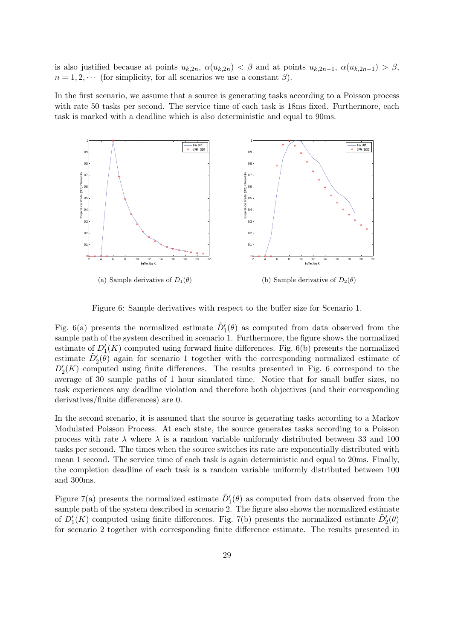is also justified because at points  $u_{k,2n}$ ,  $\alpha(u_{k,2n}) < \beta$  and at points  $u_{k,2n-1}$ ,  $\alpha(u_{k,2n-1}) > \beta$ ,  $n = 1, 2, \cdots$  (for simplicity, for all scenarios we use a constant  $\beta$ ).

In the first scenario, we assume that a source is generating tasks according to a Poisson process with rate 50 tasks per second. The service time of each task is 18ms fixed. Furthermore, each task is marked with a deadline which is also deterministic and equal to 90ms.



Figure 6: Sample derivatives with respect to the buffer size for Scenario 1.

Fig. 6(a) presents the normalized estimate  $\tilde{D}'_1(\theta)$  as computed from data observed from the sample path of the system described in scenario 1. Furthermore, the figure shows the normalized estimate of  $D'_{1}(K)$  computed using forward finite differences. Fig. 6(b) presents the normalized estimate  $\tilde{D}'_2(\theta)$  again for scenario 1 together with the corresponding normalized estimate of  $D'_{2}(K)$  computed using finite differences. The results presented in Fig. 6 correspond to the average of 30 sample paths of 1 hour simulated time. Notice that for small buffer sizes, no task experiences any deadline violation and therefore both objectives (and their corresponding derivatives/finite differences) are 0.

In the second scenario, it is assumed that the source is generating tasks according to a Markov Modulated Poisson Process. At each state, the source generates tasks according to a Poisson process with rate  $\lambda$  where  $\lambda$  is a random variable uniformly distributed between 33 and 100 tasks per second. The times when the source switches its rate are exponentially distributed with mean 1 second. The service time of each task is again deterministic and equal to 20ms. Finally, the completion deadline of each task is a random variable uniformly distributed between 100 and 300ms.

Figure 7(a) presents the normalized estimate  $\tilde{D}'_1(\theta)$  as computed from data observed from the sample path of the system described in scenario 2. The figure also shows the normalized estimate of  $D'_1(K)$  computed using finite differences. Fig. 7(b) presents the normalized estimate  $\tilde{D}'_2(\theta)$ for scenario 2 together with corresponding finite difference estimate. The results presented in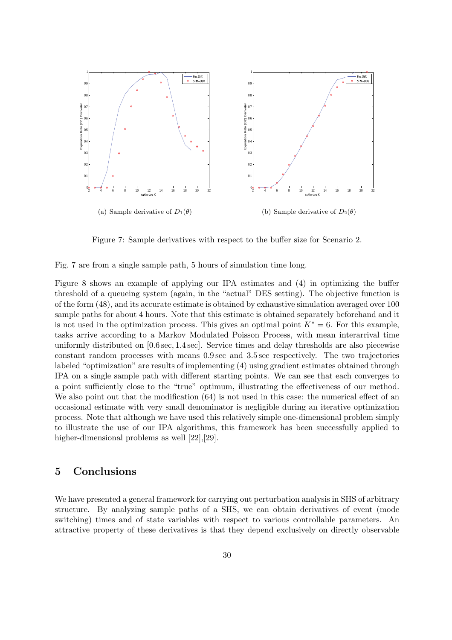

Figure 7: Sample derivatives with respect to the buffer size for Scenario 2.

Fig. 7 are from a single sample path, 5 hours of simulation time long.

Figure 8 shows an example of applying our IPA estimates and (4) in optimizing the buffer threshold of a queueing system (again, in the "actual" DES setting). The objective function is of the form (48), and its accurate estimate is obtained by exhaustive simulation averaged over 100 sample paths for about 4 hours. Note that this estimate is obtained separately beforehand and it is not used in the optimization process. This gives an optimal point  $K^* = 6$ . For this example, tasks arrive according to a Markov Modulated Poisson Process, with mean interarrival time uniformly distributed on [0.6 sec, 1.4 sec]. Service times and delay thresholds are also piecewise constant random processes with means 0.9 sec and 3.5 sec respectively. The two trajectories labeled "optimization" are results of implementing (4) using gradient estimates obtained through IPA on a single sample path with different starting points. We can see that each converges to a point sufficiently close to the "true" optimum, illustrating the effectiveness of our method. We also point out that the modification  $(64)$  is not used in this case: the numerical effect of an occasional estimate with very small denominator is negligible during an iterative optimization process. Note that although we have used this relatively simple one-dimensional problem simply to illustrate the use of our IPA algorithms, this framework has been successfully applied to higher-dimensional problems as well [22],[29].

### 5 Conclusions

We have presented a general framework for carrying out perturbation analysis in SHS of arbitrary structure. By analyzing sample paths of a SHS, we can obtain derivatives of event (mode switching) times and of state variables with respect to various controllable parameters. An attractive property of these derivatives is that they depend exclusively on directly observable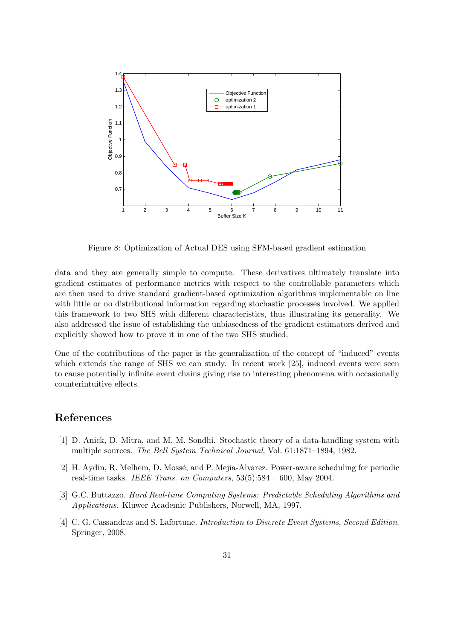

Figure 8: Optimization of Actual DES using SFM-based gradient estimation

data and they are generally simple to compute. These derivatives ultimately translate into gradient estimates of performance metrics with respect to the controllable parameters which are then used to drive standard gradient-based optimization algorithms implementable on line with little or no distributional information regarding stochastic processes involved. We applied this framework to two SHS with different characteristics, thus illustrating its generality. We also addressed the issue of establishing the unbiasedness of the gradient estimators derived and explicitly showed how to prove it in one of the two SHS studied.

One of the contributions of the paper is the generalization of the concept of "induced" events which extends the range of SHS we can study. In recent work [25], induced events were seen to cause potentially infinite event chains giving rise to interesting phenomena with occasionally counterintuitive effects.

### References

- [1] D. Anick, D. Mitra, and M. M. Sondhi. Stochastic theory of a data-handling system with multiple sources. The Bell System Technical Journal, Vol. 61:1871–1894, 1982.
- [2] H. Aydin, R. Melhem, D. Mossé, and P. Mejia-Alvarez. Power-aware scheduling for periodic real-time tasks. IEEE Trans. on Computers,  $53(5):584 - 600$ , May 2004.
- [3] G.C. Buttazzo. Hard Real-time Computing Systems: Predictable Scheduling Algorithms and Applications. Kluwer Academic Publishers, Norwell, MA, 1997.
- [4] C. G. Cassandras and S. Lafortune. *Introduction to Discrete Event Systems, Second Edition*. Springer, 2008.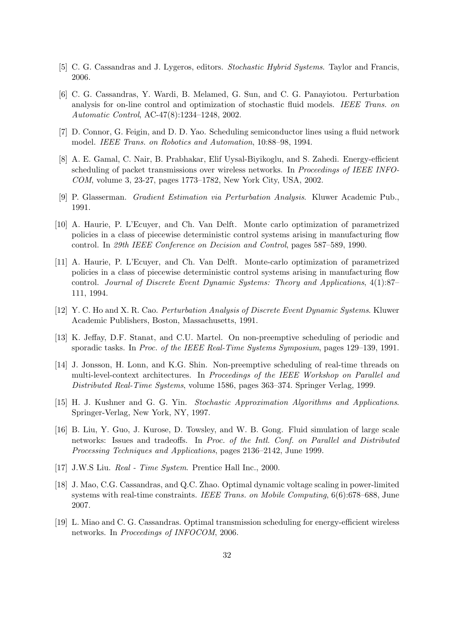- [5] C. G. Cassandras and J. Lygeros, editors. Stochastic Hybrid Systems. Taylor and Francis, 2006.
- [6] C. G. Cassandras, Y. Wardi, B. Melamed, G. Sun, and C. G. Panayiotou. Perturbation analysis for on-line control and optimization of stochastic fluid models. IEEE Trans. on Automatic Control, AC-47(8):1234–1248, 2002.
- [7] D. Connor, G. Feigin, and D. D. Yao. Scheduling semiconductor lines using a fluid network model. IEEE Trans. on Robotics and Automation, 10:88–98, 1994.
- [8] A. E. Gamal, C. Nair, B. Prabhakar, Elif Uysal-Biyikoglu, and S. Zahedi. Energy-efficient scheduling of packet transmissions over wireless networks. In Proceedings of IEEE INFO-COM, volume 3, 23-27, pages 1773–1782, New York City, USA, 2002.
- [9] P. Glasserman. Gradient Estimation via Perturbation Analysis. Kluwer Academic Pub., 1991.
- [10] A. Haurie, P. L'Ecuyer, and Ch. Van Delft. Monte carlo optimization of parametrized policies in a class of piecewise deterministic control systems arising in manufacturing flow control. In 29th IEEE Conference on Decision and Control, pages 587–589, 1990.
- [11] A. Haurie, P. L'Ecuyer, and Ch. Van Delft. Monte-carlo optimization of parametrized policies in a class of piecewise deterministic control systems arising in manufacturing flow control. Journal of Discrete Event Dynamic Systems: Theory and Applications, 4(1):87– 111, 1994.
- [12] Y. C. Ho and X. R. Cao. Perturbation Analysis of Discrete Event Dynamic Systems. Kluwer Academic Publishers, Boston, Massachusetts, 1991.
- [13] K. Jeffay, D.F. Stanat, and C.U. Martel. On non-preemptive scheduling of periodic and sporadic tasks. In Proc. of the IEEE Real-Time Systems Symposium, pages 129–139, 1991.
- [14] J. Jonsson, H. Lonn, and K.G. Shin. Non-preemptive scheduling of real-time threads on multi-level-context architectures. In Proceedings of the IEEE Workshop on Parallel and Distributed Real-Time Systems, volume 1586, pages 363–374. Springer Verlag, 1999.
- [15] H. J. Kushner and G. G. Yin. Stochastic Approximation Algorithms and Applications. Springer-Verlag, New York, NY, 1997.
- [16] B. Liu, Y. Guo, J. Kurose, D. Towsley, and W. B. Gong. Fluid simulation of large scale networks: Issues and tradeoffs. In Proc. of the Intl. Conf. on Parallel and Distributed Processing Techniques and Applications, pages 2136–2142, June 1999.
- [17] J.W.S Liu. Real Time System. Prentice Hall Inc., 2000.
- [18] J. Mao, C.G. Cassandras, and Q.C. Zhao. Optimal dynamic voltage scaling in power-limited systems with real-time constraints. IEEE Trans. on Mobile Computing, 6(6):678–688, June 2007.
- [19] L. Miao and C. G. Cassandras. Optimal transmission scheduling for energy-efficient wireless networks. In Proceedings of INFOCOM, 2006.